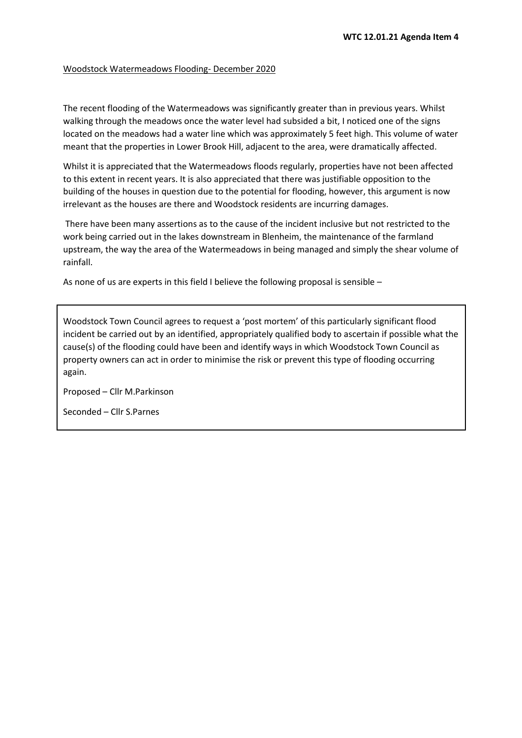### Woodstock Watermeadows Flooding- December 2020

The recent flooding of the Watermeadows was significantly greater than in previous years. Whilst walking through the meadows once the water level had subsided a bit, I noticed one of the signs located on the meadows had a water line which was approximately 5 feet high. This volume of water meant that the properties in Lower Brook Hill, adjacent to the area, were dramatically affected.

Whilst it is appreciated that the Watermeadows floods regularly, properties have not been affected to this extent in recent years. It is also appreciated that there was justifiable opposition to the building of the houses in question due to the potential for flooding, however, this argument is now irrelevant as the houses are there and Woodstock residents are incurring damages.

There have been many assertions as to the cause of the incident inclusive but not restricted to the work being carried out in the lakes downstream in Blenheim, the maintenance of the farmland upstream, the way the area of the Watermeadows in being managed and simply the shear volume of rainfall.

As none of us are experts in this field I believe the following proposal is sensible –

Woodstock Town Council agrees to request a 'post mortem' of this particularly significant flood incident be carried out by an identified, appropriately qualified body to ascertain if possible what the cause(s) of the flooding could have been and identify ways in which Woodstock Town Council as property owners can act in order to minimise the risk or prevent this type of flooding occurring again.

Proposed – Cllr M.Parkinson

Seconded – Cllr S.Parnes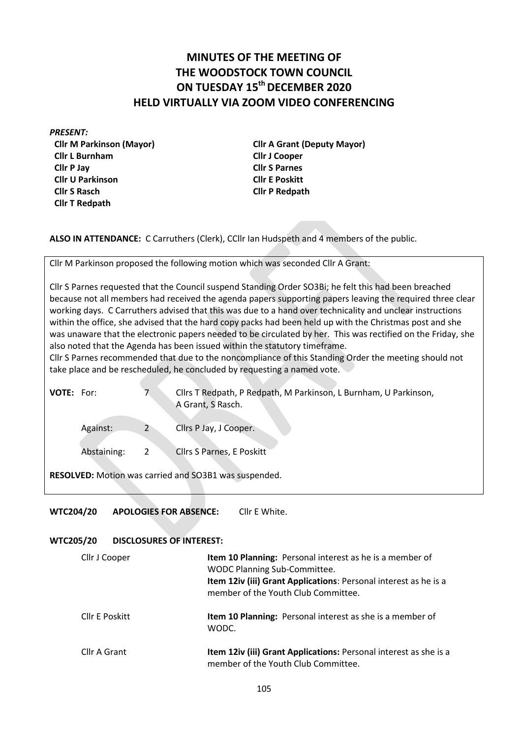# **MINUTES OF THE MEETING OF THE WOODSTOCK TOWN COUNCIL ON TUESDAY 15th DECEMBER 2020 HELD VIRTUALLY VIA ZOOM VIDEO CONFERENCING**

*PRESENT:*

**Cllr M Parkinson (Mayor) Cllr L Burnham Cllr P Jay Cllr U Parkinson Cllr S Rasch Cllr T Redpath**

**Cllr A Grant (Deputy Mayor) Cllr J Cooper Cllr S Parnes Cllr E Poskitt Cllr P Redpath**

**ALSO IN ATTENDANCE:** C Carruthers (Clerk), CCllr Ian Hudspeth and 4 members of the public.

Cllr M Parkinson proposed the following motion which was seconded Cllr A Grant:

Cllr S Parnes requested that the Council suspend Standing Order SO3Bi; he felt this had been breached because not all members had received the agenda papers supporting papers leaving the required three clear working days. C Carruthers advised that this was due to a hand over technicality and unclear instructions within the office, she advised that the hard copy packs had been held up with the Christmas post and she was unaware that the electronic papers needed to be circulated by her. This was rectified on the Friday, she also noted that the Agenda has been issued within the statutory timeframe.

Cllr S Parnes recommended that due to the noncompliance of this Standing Order the meeting should not take place and be rescheduled, he concluded by requesting a named vote.

| <b>VOTE: For:</b>                                     |             |   | Cllrs T Redpath, P Redpath, M Parkinson, L Burnham, U Parkinson,<br>A Grant, S Rasch. |  |  |  |  |  |
|-------------------------------------------------------|-------------|---|---------------------------------------------------------------------------------------|--|--|--|--|--|
|                                                       | Against:    |   | Cllrs P Jay, J Cooper.                                                                |  |  |  |  |  |
|                                                       | Abstaining: | 2 | <b>Cllrs S Parnes, E Poskitt</b>                                                      |  |  |  |  |  |
| RESOLVED: Motion was carried and SO3B1 was suspended. |             |   |                                                                                       |  |  |  |  |  |

# **WTC204/20 APOLOGIES FOR ABSENCE:** Cllr E White.

# **WTC205/20 DISCLOSURES OF INTEREST:**

| Cllr J Cooper  | Item 10 Planning: Personal interest as he is a member of<br>WODC Planning Sub-Committee.<br>Item 12iv (iii) Grant Applications: Personal interest as he is a<br>member of the Youth Club Committee. |
|----------------|-----------------------------------------------------------------------------------------------------------------------------------------------------------------------------------------------------|
| Cllr E Poskitt | Item 10 Planning: Personal interest as she is a member of<br>WODC.                                                                                                                                  |
| Cllr A Grant   | Item 12iv (iii) Grant Applications: Personal interest as she is a<br>member of the Youth Club Committee.                                                                                            |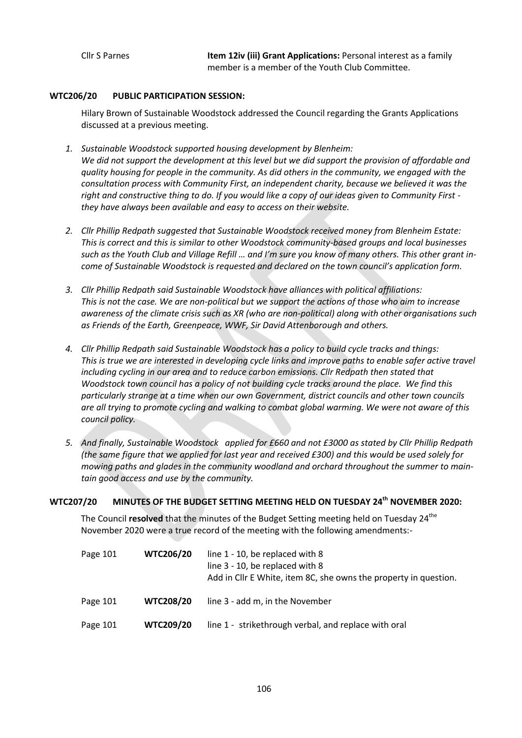Cllr S Parnes **Item 12iv (iii) Grant Applications:** Personal interest as a family member is a member of the Youth Club Committee.

# **WTC206/20 PUBLIC PARTICIPATION SESSION:**

Hilary Brown of Sustainable Woodstock addressed the Council regarding the Grants Applications discussed at a previous meeting.

- *1. Sustainable Woodstock supported housing development by Blenheim: We did not support the development at this level but we did support the provision of affordable and quality housing for people in the community. As did others in the community, we engaged with the consultation process with Community First, an independent charity, because we believed it was the right and constructive thing to do. If you would like a copy of our ideas given to Community First they have always been available and easy to access on their website.*
- *2. Cllr Phillip Redpath suggested that Sustainable Woodstock received money from Blenheim Estate: This is correct and this is similar to other Woodstock community-based groups and local businesses such as the Youth Club and Village Refill … and I'm sure you know of many others. This other grant income of Sustainable Woodstock is requested and declared on the town council's application form.*
- *3. Cllr Phillip Redpath said Sustainable Woodstock have alliances with political affiliations: This is not the case. We are non-political but we support the actions of those who aim to increase awareness of the climate crisis such as XR (who are non-political) along with other organisations such as Friends of the Earth, Greenpeace, WWF, Sir David Attenborough and others.*
- *4. Cllr Phillip Redpath said Sustainable Woodstock has a policy to build cycle tracks and things: This is true we are interested in developing cycle links and improve paths to enable safer active travel including cycling in our area and to reduce carbon emissions. Cllr Redpath then stated that Woodstock town council has a policy of not building cycle tracks around the place. We find this particularly strange at a time when our own Government, district councils and other town councils are all trying to promote cycling and walking to combat global warming. We were not aware of this council policy.*
- *5. And finally, Sustainable Woodstock applied for £660 and not £3000 as stated by Cllr Phillip Redpath (the same figure that we applied for last year and received £300) and this would be used solely for mowing paths and glades in the community woodland and orchard throughout the summer to maintain good access and use by the community.*

# **WTC207/20 MINUTES OF THE BUDGET SETTING MEETING HELD ON TUESDAY 24th NOVEMBER 2020:**

The Council *resolved* that the minutes of the Budget Setting meeting held on Tuesday 24<sup>the</sup> November 2020 were a true record of the meeting with the following amendments:-

| Page 101 | <b>WTC206/20</b> | line $1 - 10$ , be replaced with 8<br>line 3 - 10, be replaced with 8<br>Add in Cllr E White, item 8C, she owns the property in question. |
|----------|------------------|-------------------------------------------------------------------------------------------------------------------------------------------|
| Page 101 | <b>WTC208/20</b> | line 3 - add m, in the November                                                                                                           |
| Page 101 | <b>WTC209/20</b> | line 1 - strikethrough verbal, and replace with oral                                                                                      |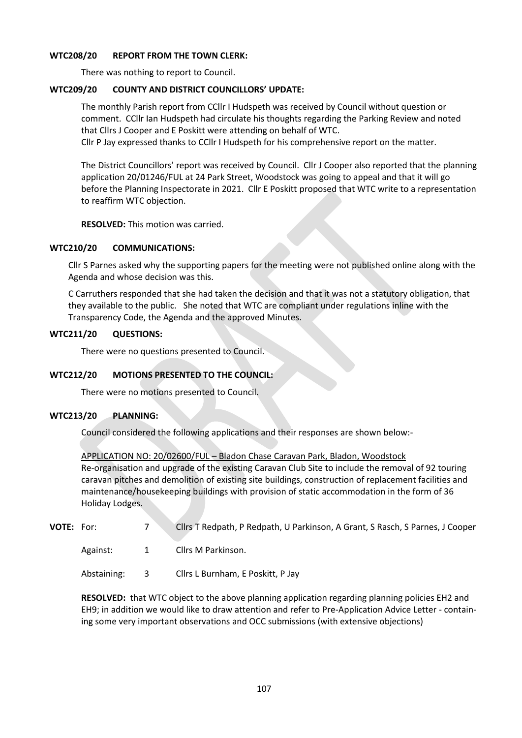### **WTC208/20 REPORT FROM THE TOWN CLERK:**

There was nothing to report to Council.

# **WTC209/20 COUNTY AND DISTRICT COUNCILLORS' UPDATE:**

The monthly Parish report from CCllr I Hudspeth was received by Council without question or comment. CCllr Ian Hudspeth had circulate his thoughts regarding the Parking Review and noted that Cllrs J Cooper and E Poskitt were attending on behalf of WTC.

Cllr P Jay expressed thanks to CCllr I Hudspeth for his comprehensive report on the matter.

The District Councillors' report was received by Council. Cllr J Cooper also reported that the planning application 20/01246/FUL at 24 Park Street, Woodstock was going to appeal and that it will go before the Planning Inspectorate in 2021. Cllr E Poskitt proposed that WTC write to a representation to reaffirm WTC objection.

**RESOLVED:** This motion was carried.

# **WTC210/20 COMMUNICATIONS:**

Cllr S Parnes asked why the supporting papers for the meeting were not published online along with the Agenda and whose decision was this.

C Carruthers responded that she had taken the decision and that it was not a statutory obligation, that they available to the public. She noted that WTC are compliant under regulations inline with the Transparency Code, the Agenda and the approved Minutes.

# **WTC211/20 QUESTIONS:**

There were no questions presented to Council.

# **WTC212/20 MOTIONS PRESENTED TO THE COUNCIL:**

There were no motions presented to Council.

# **WTC213/20 PLANNING:**

Council considered the following applications and their responses are shown below:-

APPLICATION NO: 20/02600/FUL – Bladon Chase Caravan Park, Bladon, Woodstock Re-organisation and upgrade of the existing Caravan Club Site to include the removal of 92 touring caravan pitches and demolition of existing site buildings, construction of replacement facilities and maintenance/housekeeping buildings with provision of static accommodation in the form of 36 Holiday Lodges.

|  | <b>VOTE: For:</b> |  | Cllrs T Redpath, P Redpath, U Parkinson, A Grant, S Rasch, S Parnes, J Cooper |
|--|-------------------|--|-------------------------------------------------------------------------------|
|--|-------------------|--|-------------------------------------------------------------------------------|

Against: 1 Cllrs M Parkinson.

Abstaining: 3 Cllrs L Burnham, E Poskitt, P Jay

**RESOLVED:** that WTC object to the above planning application regarding planning policies EH2 and EH9; in addition we would like to draw attention and refer to Pre-Application Advice Letter - containing some very important observations and OCC submissions (with extensive objections)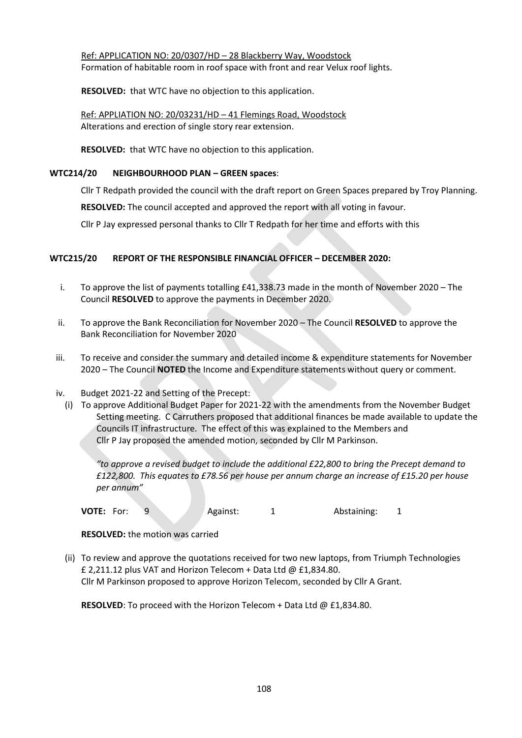Ref: APPLICATION NO: 20/0307/HD – 28 Blackberry Way, Woodstock Formation of habitable room in roof space with front and rear Velux roof lights.

**RESOLVED:** that WTC have no objection to this application.

Ref: APPLIATION NO: 20/03231/HD – 41 Flemings Road, Woodstock Alterations and erection of single story rear extension.

**RESOLVED:** that WTC have no objection to this application.

# **WTC214/20 NEIGHBOURHOOD PLAN – GREEN spaces**:

Cllr T Redpath provided the council with the draft report on Green Spaces prepared by Troy Planning.

**RESOLVED:** The council accepted and approved the report with all voting in favour.

Cllr P Jay expressed personal thanks to Cllr T Redpath for her time and efforts with this

# **WTC215/20 REPORT OF THE RESPONSIBLE FINANCIAL OFFICER – DECEMBER 2020:**

- i. To approve the list of payments totalling £41,338.73 made in the month of November 2020 The Council **RESOLVED** to approve the payments in December 2020.
- ii. To approve the Bank Reconciliation for November 2020 The Council **RESOLVED** to approve the Bank Reconciliation for November 2020
- iii. To receive and consider the summary and detailed income & expenditure statements for November 2020 – The Council **NOTED** the Income and Expenditure statements without query or comment.
- iv. Budget 2021-22 and Setting of the Precept:
	- (i) To approve Additional Budget Paper for 2021-22 with the amendments from the November Budget Setting meeting. C Carruthers proposed that additional finances be made available to update the Councils IT infrastructure. The effect of this was explained to the Members and Cllr P Jay proposed the amended motion, seconded by Cllr M Parkinson.

*"to approve a revised budget to include the additional £22,800 to bring the Precept demand to £122,800. This equates to £78.56 per house per annum charge an increase of £15.20 per house per annum"*

**VOTE:** For: 9 Against: 1 Abstaining: 1

**RESOLVED:** the motion was carried

(ii) To review and approve the quotations received for two new laptops, from Triumph Technologies £ 2,211.12 plus VAT and Horizon Telecom + Data Ltd @ £1,834.80. Cllr M Parkinson proposed to approve Horizon Telecom, seconded by Cllr A Grant.

**RESOLVED**: To proceed with the Horizon Telecom + Data Ltd @ £1,834.80.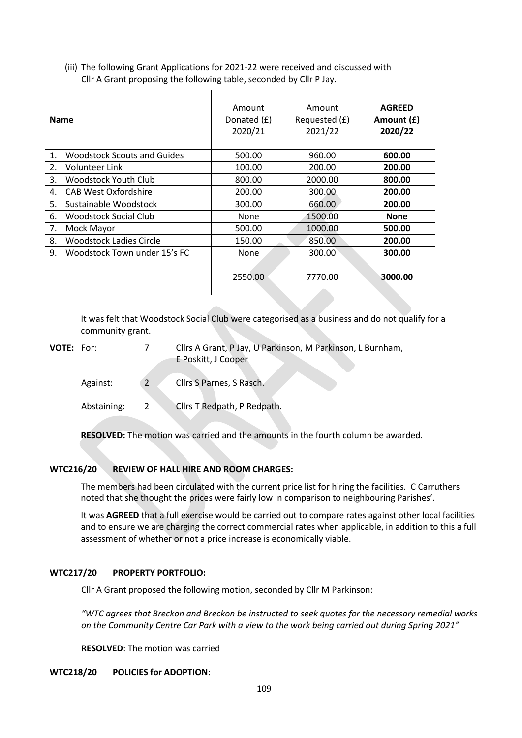| (iii) The following Grant Applications for 2021-22 were received and discussed with |
|-------------------------------------------------------------------------------------|
| Cllr A Grant proposing the following table, seconded by Cllr P Jay.                 |

| <b>Name</b>                              | Amount<br>Donated (£)<br>2020/21 | Amount<br>Requested (£)<br>2021/22 | <b>AGREED</b><br>Amount (£)<br>2020/22 |
|------------------------------------------|----------------------------------|------------------------------------|----------------------------------------|
| <b>Woodstock Scouts and Guides</b><br>1. | 500.00                           | 960.00                             | 600.00                                 |
| 2.<br>Volunteer Link                     | 100.00                           | 200.00                             | 200.00                                 |
| Woodstock Youth Club<br>3.               | 800.00                           | 2000.00                            | 800.00                                 |
| CAB West Oxfordshire<br>4.               | 200.00                           | 300.00                             | 200.00                                 |
| 5.<br>Sustainable Woodstock              | 300.00                           | 660.00                             | 200.00                                 |
| Woodstock Social Club<br>6.              | None                             | 1500.00                            | <b>None</b>                            |
| 7.<br>Mock Mayor                         | 500.00                           | 1000.00                            | 500.00                                 |
| <b>Woodstock Ladies Circle</b><br>8.     | 150.00                           | 850.00                             | 200.00                                 |
| 9.<br>Woodstock Town under 15's FC       | None                             | 300.00                             | 300.00                                 |
|                                          | 2550.00                          | 7770.00                            | 3000.00                                |

It was felt that Woodstock Social Club were categorised as a business and do not qualify for a community grant.

| <b>VOTE:</b> For: |  | Cllrs A Grant, P Jay, U Parkinson, M Parkinson, L Burnham, |
|-------------------|--|------------------------------------------------------------|
|                   |  | E Poskitt, J Cooper                                        |

- Against: 2 Cllrs S Parnes, S Rasch.
- Abstaining: 2 Cllrs T Redpath, P Redpath.

**RESOLVED:** The motion was carried and the amounts in the fourth column be awarded.

# **WTC216/20 REVIEW OF HALL HIRE AND ROOM CHARGES:**

The members had been circulated with the current price list for hiring the facilities. C Carruthers noted that she thought the prices were fairly low in comparison to neighbouring Parishes'.

It was **AGREED** that a full exercise would be carried out to compare rates against other local facilities and to ensure we are charging the correct commercial rates when applicable, in addition to this a full assessment of whether or not a price increase is economically viable.

# **WTC217/20 PROPERTY PORTFOLIO:**

Cllr A Grant proposed the following motion, seconded by Cllr M Parkinson:

*"WTC agrees that Breckon and Breckon be instructed to seek quotes for the necessary remedial works on the Community Centre Car Park with a view to the work being carried out during Spring 2021"*

**RESOLVED**: The motion was carried

# **WTC218/20 POLICIES for ADOPTION:**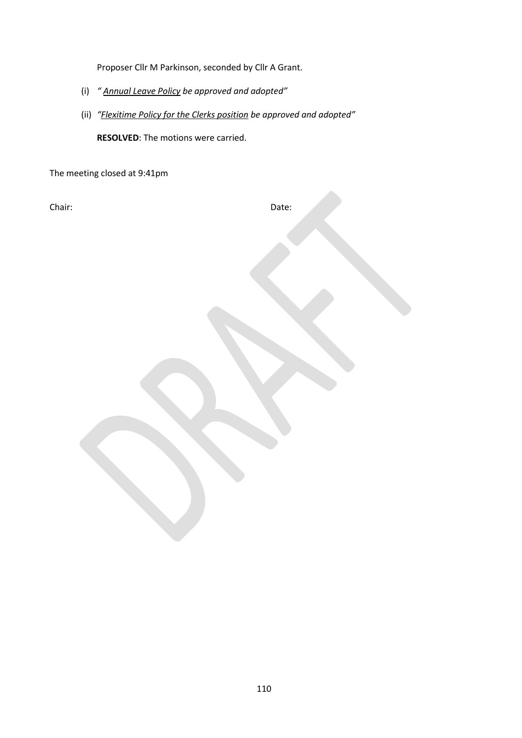Proposer Cllr M Parkinson, seconded by Cllr A Grant.

- (i) *" Annual Leave Policy be approved and adopted"*
- (ii) *"Flexitime Policy for the Clerks position be approved and adopted"*

**RESOLVED**: The motions were carried.

The meeting closed at 9:41pm

Chair: Date: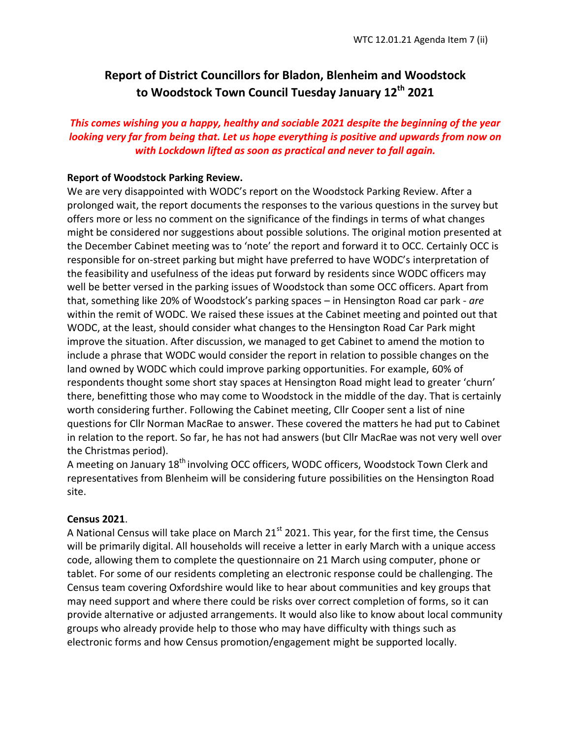# **Report of District Councillors for Bladon, Blenheim and Woodstock to Woodstock Town Council Tuesday January 12th 2021**

# *This comes wishing you a happy, healthy and sociable 2021 despite the beginning of the year looking very far from being that. Let us hope everything is positive and upwards from now on with Lockdown lifted as soon as practical and never to fall again.*

# **Report of Woodstock Parking Review.**

We are very disappointed with WODC's report on the Woodstock Parking Review. After a prolonged wait, the report documents the responses to the various questions in the survey but offers more or less no comment on the significance of the findings in terms of what changes might be considered nor suggestions about possible solutions. The original motion presented at the December Cabinet meeting was to 'note' the report and forward it to OCC. Certainly OCC is responsible for on-street parking but might have preferred to have WODC's interpretation of the feasibility and usefulness of the ideas put forward by residents since WODC officers may well be better versed in the parking issues of Woodstock than some OCC officers. Apart from that, something like 20% of Woodstock's parking spaces – in Hensington Road car park - *are*  within the remit of WODC. We raised these issues at the Cabinet meeting and pointed out that WODC, at the least, should consider what changes to the Hensington Road Car Park might improve the situation. After discussion, we managed to get Cabinet to amend the motion to include a phrase that WODC would consider the report in relation to possible changes on the land owned by WODC which could improve parking opportunities. For example, 60% of respondents thought some short stay spaces at Hensington Road might lead to greater 'churn' there, benefitting those who may come to Woodstock in the middle of the day. That is certainly worth considering further. Following the Cabinet meeting, Cllr Cooper sent a list of nine questions for Cllr Norman MacRae to answer. These covered the matters he had put to Cabinet in relation to the report. So far, he has not had answers (but Cllr MacRae was not very well over the Christmas period).

A meeting on January 18<sup>th</sup> involving OCC officers, WODC officers, Woodstock Town Clerk and representatives from Blenheim will be considering future possibilities on the Hensington Road site.

# **Census 2021**.

A National Census will take place on March  $21<sup>st</sup>$  2021. This year, for the first time, the Census will be primarily digital. All households will receive a letter in early March with a unique access code, allowing them to complete the questionnaire on 21 March using computer, phone or tablet. For some of our residents completing an electronic response could be challenging. The Census team covering Oxfordshire would like to hear about communities and key groups that may need support and where there could be risks over correct completion of forms, so it can provide alternative or adjusted arrangements. It would also like to know about local community groups who already provide help to those who may have difficulty with things such as electronic forms and how Census promotion/engagement might be supported locally.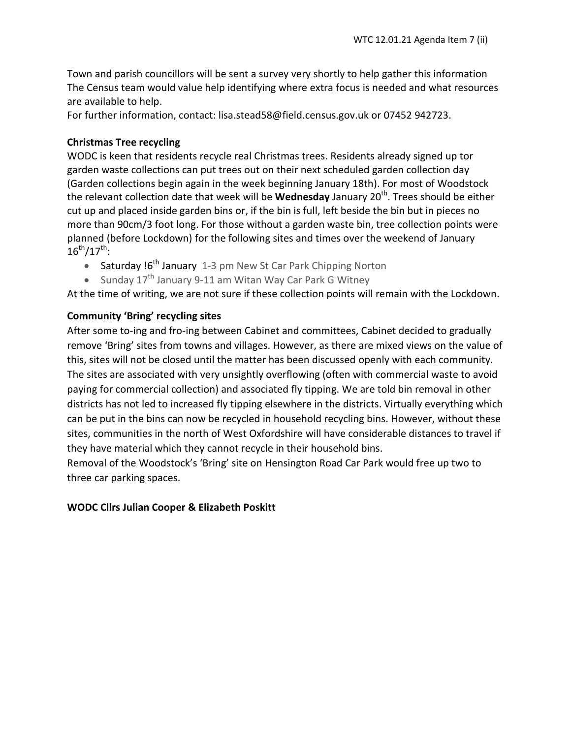Town and parish councillors will be sent a survey very shortly to help gather this information The Census team would value help identifying where extra focus is needed and what resources are available to help.

For further information, contact: lisa.stead58@field.census.gov.uk or 07452 942723.

# **Christmas Tree recycling**

WODC is keen that residents recycle real Christmas trees. Residents already signed up tor garden waste collections can put trees out on their next scheduled garden collection day (Garden collections begin again in the week beginning January 18th). For most of Woodstock the relevant collection date that week will be **Wednesday** January 20<sup>th</sup>. Trees should be either cut up and placed inside garden bins or, if the bin is full, left beside the bin but in pieces no more than 90cm/3 foot long. For those without a garden waste bin, tree collection points were planned (before Lockdown) for the following sites and times over the weekend of January  $16^{th}/17^{th}$ :

- Saturday !6<sup>th</sup> January 1-3 pm New St Car Park Chipping Norton
- Sunday  $17<sup>th</sup>$  January 9-11 am Witan Way Car Park G Witney

At the time of writing, we are not sure if these collection points will remain with the Lockdown.

# **Community 'Bring' recycling sites**

After some to-ing and fro-ing between Cabinet and committees, Cabinet decided to gradually remove 'Bring' sites from towns and villages. However, as there are mixed views on the value of this, sites will not be closed until the matter has been discussed openly with each community. The sites are associated with very unsightly overflowing (often with commercial waste to avoid paying for commercial collection) and associated fly tipping. We are told bin removal in other districts has not led to increased fly tipping elsewhere in the districts. Virtually everything which can be put in the bins can now be recycled in household recycling bins. However, without these sites, communities in the north of West Oxfordshire will have considerable distances to travel if they have material which they cannot recycle in their household bins.

Removal of the Woodstock's 'Bring' site on Hensington Road Car Park would free up two to three car parking spaces.

# **WODC Cllrs Julian Cooper & Elizabeth Poskitt**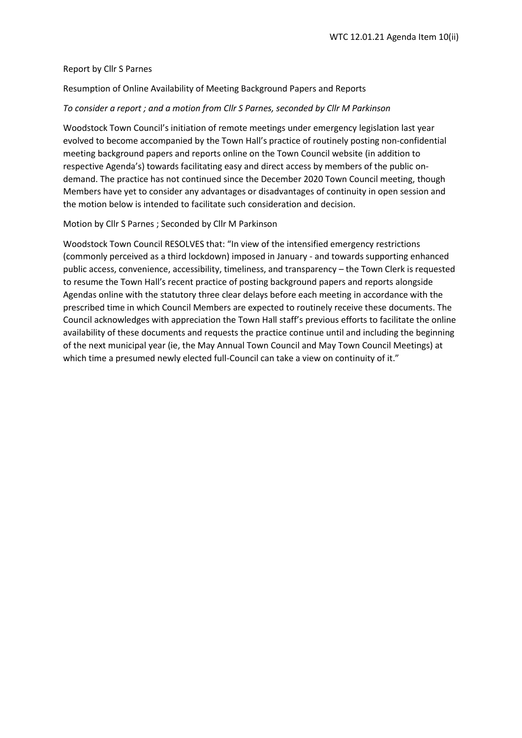#### Report by Cllr S Parnes

#### Resumption of Online Availability of Meeting Background Papers and Reports

#### *To consider a report ; and a motion from Cllr S Parnes, seconded by Cllr M Parkinson*

Woodstock Town Council's initiation of remote meetings under emergency legislation last year evolved to become accompanied by the Town Hall's practice of routinely posting non-confidential meeting background papers and reports online on the Town Council website (in addition to respective Agenda's) towards facilitating easy and direct access by members of the public ondemand. The practice has not continued since the December 2020 Town Council meeting, though Members have yet to consider any advantages or disadvantages of continuity in open session and the motion below is intended to facilitate such consideration and decision.

#### Motion by Cllr S Parnes ; Seconded by Cllr M Parkinson

Woodstock Town Council RESOLVES that: "In view of the intensified emergency restrictions (commonly perceived as a third lockdown) imposed in January - and towards supporting enhanced public access, convenience, accessibility, timeliness, and transparency – the Town Clerk is requested to resume the Town Hall's recent practice of posting background papers and reports alongside Agendas online with the statutory three clear delays before each meeting in accordance with the prescribed time in which Council Members are expected to routinely receive these documents. The Council acknowledges with appreciation the Town Hall staff's previous efforts to facilitate the online availability of these documents and requests the practice continue until and including the beginning of the next municipal year (ie, the May Annual Town Council and May Town Council Meetings) at which time a presumed newly elected full-Council can take a view on continuity of it."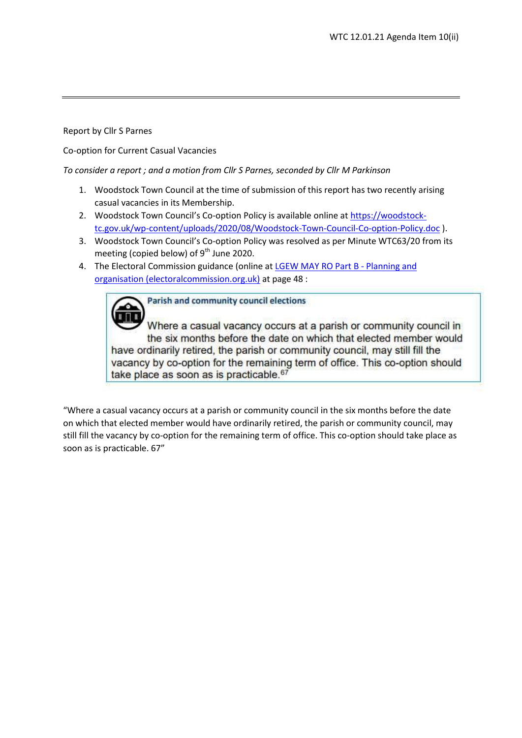Report by Cllr S Parnes

Co-option for Current Casual Vacancies

*To consider a report ; and a motion from Cllr S Parnes, seconded by Cllr M Parkinson*

- 1. Woodstock Town Council at the time of submission of this report has two recently arising casual vacancies in its Membership.
- 2. Woodstock Town Council's Co-option Policy is available online a[t https://woodstock](https://woodstock-tc.gov.uk/wp-content/uploads/2020/08/Woodstock-Town-Council-Co-option-Policy.doc)[tc.gov.uk/wp-content/uploads/2020/08/Woodstock-Town-Council-Co-option-Policy.doc](https://woodstock-tc.gov.uk/wp-content/uploads/2020/08/Woodstock-Town-Council-Co-option-Policy.doc) ).
- 3. Woodstock Town Council's Co-option Policy was resolved as per Minute WTC63/20 from its meeting (copied below) of 9<sup>th</sup> June 2020.
- 4. The Electoral Commission guidance (online at [LGEW MAY RO Part B -](https://www.electoralcommission.org.uk/sites/default/files/2020-01/LGEW%20MAY%20RO%20Part%20B%20-%20Planning%20and%20Organisation.pdf) Planning and [organisation \(electoralcommission.org.uk\)](https://www.electoralcommission.org.uk/sites/default/files/2020-01/LGEW%20MAY%20RO%20Part%20B%20-%20Planning%20and%20Organisation.pdf) at page 48 :

Parish and community council elections

Where a casual vacancy occurs at a parish or community council in the six months before the date on which that elected member would have ordinarily retired, the parish or community council, may still fill the vacancy by co-option for the remaining term of office. This co-option should take place as soon as is practicable.<sup>67</sup>

"Where a casual vacancy occurs at a parish or community council in the six months before the date on which that elected member would have ordinarily retired, the parish or community council, may still fill the vacancy by co-option for the remaining term of office. This co-option should take place as soon as is practicable. 67"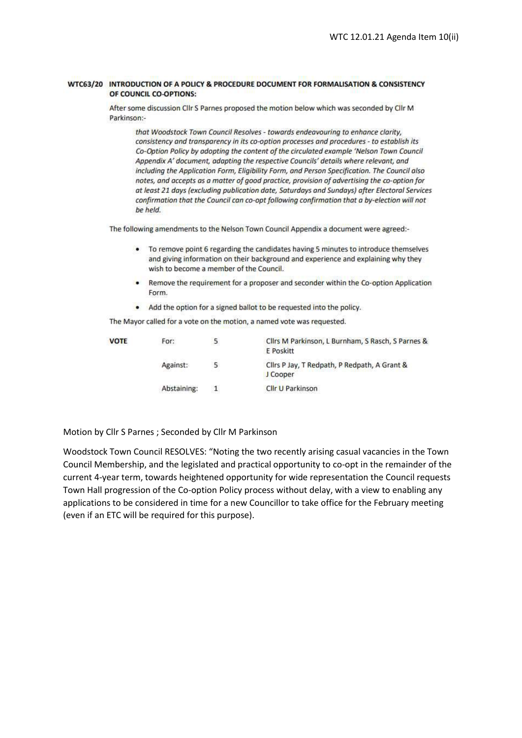#### WTC63/20 INTRODUCTION OF A POLICY & PROCEDURE DOCUMENT FOR FORMALISATION & CONSISTENCY OF COUNCIL CO-OPTIONS:

After some discussion Cllr S Parnes proposed the motion below which was seconded by Cllr M Parkinson:-

that Woodstock Town Council Resolves - towards endeavouring to enhance clarity, consistency and transparency in its co-option processes and procedures - to establish its Co-Option Policy by adopting the content of the circulated example 'Nelson Town Council Appendix A' document, adapting the respective Councils' details where relevant, and including the Application Form, Eligibility Form, and Person Specification. The Council also notes, and accepts as a matter of good practice, provision of advertising the co-option for at least 21 days (excluding publication date, Saturdays and Sundays) after Electoral Services confirmation that the Council can co-opt following confirmation that a by-election will not be held.

The following amendments to the Nelson Town Council Appendix a document were agreed:-

- To remove point 6 regarding the candidates having 5 minutes to introduce themselves and giving information on their background and experience and explaining why they wish to become a member of the Council.
- Remove the requirement for a proposer and seconder within the Co-option Application Form.
- Add the option for a signed ballot to be requested into the policy.

The Mayor called for a vote on the motion, a named vote was requested.

| <b>VOTE</b> | For:        |   | Clirs M Parkinson, L Burnham, S Rasch, S Parnes &<br>E Poskitt |
|-------------|-------------|---|----------------------------------------------------------------|
|             | Against:    | 5 | Clirs P Jay, T Redpath, P Redpath, A Grant &<br>J Cooper       |
|             | Abstaining: |   | <b>Cllr U Parkinson</b>                                        |

Motion by Cllr S Parnes ; Seconded by Cllr M Parkinson

Woodstock Town Council RESOLVES: "Noting the two recently arising casual vacancies in the Town Council Membership, and the legislated and practical opportunity to co-opt in the remainder of the current 4-year term, towards heightened opportunity for wide representation the Council requests Town Hall progression of the Co-option Policy process without delay, with a view to enabling any applications to be considered in time for a new Councillor to take office for the February meeting (even if an ETC will be required for this purpose).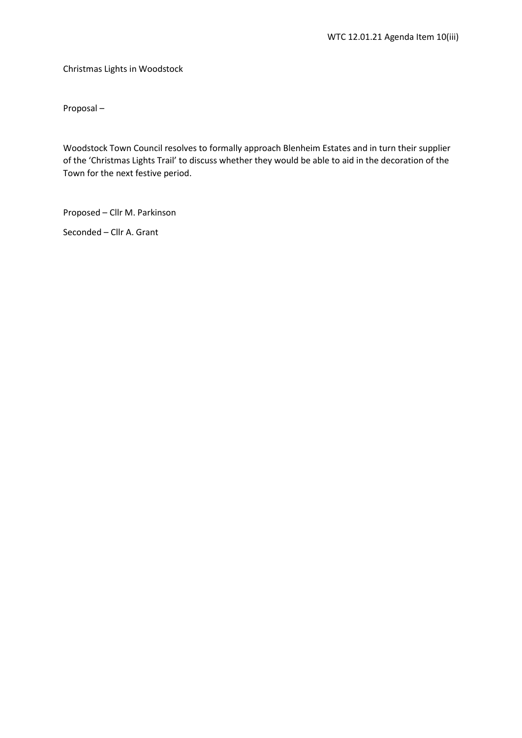Christmas Lights in Woodstock

Proposal –

Woodstock Town Council resolves to formally approach Blenheim Estates and in turn their supplier of the 'Christmas Lights Trail' to discuss whether they would be able to aid in the decoration of the Town for the next festive period.

Proposed – Cllr M. Parkinson

Seconded – Cllr A. Grant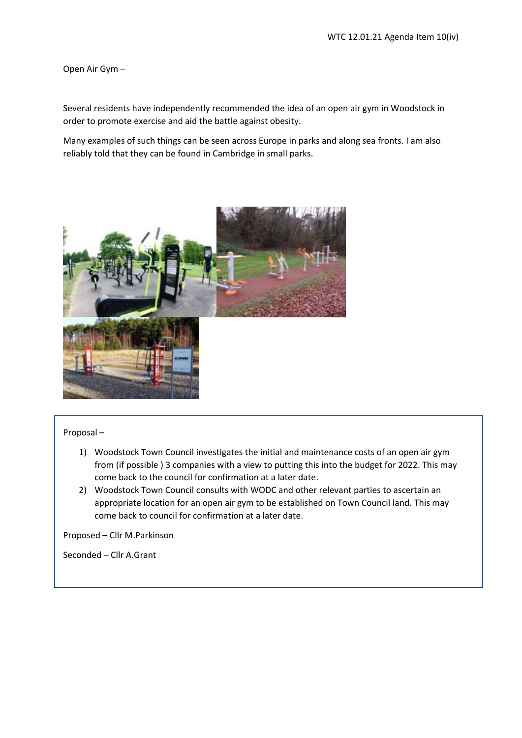Open Air Gym –

Several residents have independently recommended the idea of an open air gym in Woodstock in order to promote exercise and aid the battle against obesity.

Many examples of such things can be seen across Europe in parks and along sea fronts. I am also reliably told that they can be found in Cambridge in small parks.



# Proposal –

- 1) Woodstock Town Council investigates the initial and maintenance costs of an open air gym from (if possible ) 3 companies with a view to putting this into the budget for 2022. This may come back to the council for confirmation at a later date.
- 2) Woodstock Town Council consults with WODC and other relevant parties to ascertain an appropriate location for an open air gym to be established on Town Council land. This may come back to council for confirmation at a later date.

Proposed – Cllr M.Parkinson

Seconded – Cllr A.Grant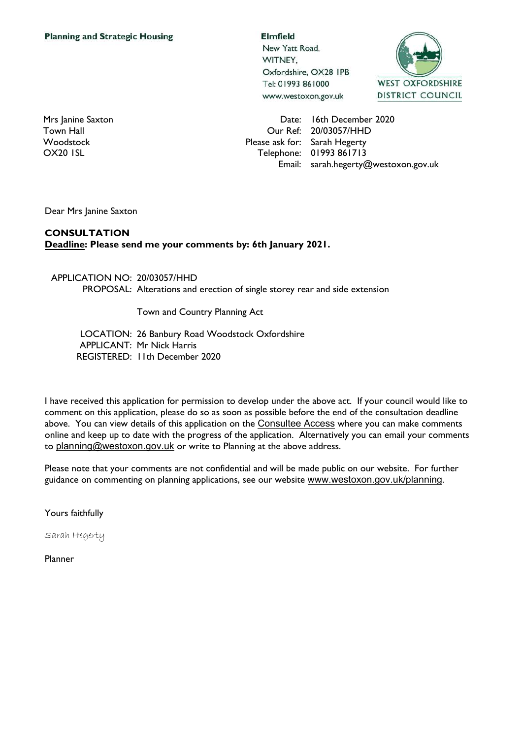**Elmfield** New Yatt Road, WITNEY. Oxfordshire, OX28 IPB Tel: 01993 861000 www.westoxon.gov.uk

![](_page_14_Picture_2.jpeg)

Mrs Janine Saxton Town Hall **Woodstock** OX20 1SL

Date: 16th December 2020 Our Ref: 20/03057/HHD Please ask for: Sarah Hegerty Telephone: 01993 861713 Email: sarah.hegerty@westoxon.gov.uk

Dear Mrs Janine Saxton

# **CONSULTATION**

**Deadline: Please send me your comments by: 6th January 2021.**

### APPLICATION NO: 20/03057/HHD

PROPOSAL: Alterations and erection of single storey rear and side extension

Town and Country Planning Act

LOCATION: 26 Banbury Road Woodstock Oxfordshire APPLICANT: Mr Nick Harris REGISTERED: 11th December 2020

I have received this application for permission to develop under the above act. If your council would like to comment on this application, please do so as soon as possible before the end of the consultation deadline above. You can view details of this application on the [Consultee](http://publicaccess.westoxon.gov.uk/online-applications/) Access where you can make comments online and keep up to date with the progress of the application. Alternatively you can email your comments to [planning@westoxon.gov.uk](mailto:planning@westoxon.gov.uk) or write to Planning at the above address.

Please note that your comments are not confidential and will be made public on our website. For further guidance on commenting on planning applications, see our website [www.westoxon.gov.uk/planning](http://www.westoxon.gov.uk/planning).

Yours faithfully

Sarah Hegerty

Planner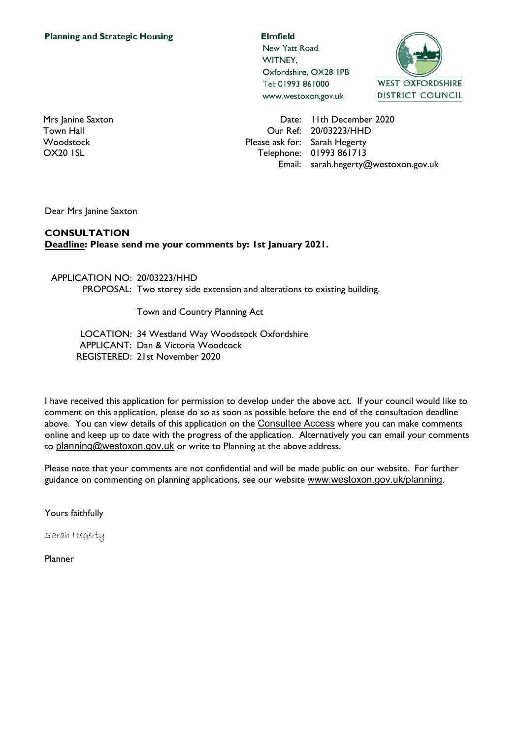**Elmfield** New Yatt Road, WITNEY. Oxfordshire, OX28 IPB Tel: 01993 861000 www.westoxon.gov.uk

![](_page_15_Picture_2.jpeg)

Mrs Janine Saxton Town Hall **Woodstock** OX20 1SL

Date: 11th December 2020 Our Ref: 20/03223/HHD Please ask for: Sarah Hegerty Telephone: 01993 861713 Email: sarah.hegerty@westoxon.gov.uk

Dear Mrs Janine Saxton

# **CONSULTATION**

**Deadline: Please send me your comments by: 1st January 2021.**

### APPLICATION NO: 20/03223/HHD

PROPOSAL: Two storey side extension and alterations to existing building.

Town and Country Planning Act

LOCATION: 34 Westland Way Woodstock Oxfordshire APPLICANT: Dan & Victoria Woodcock REGISTERED: 21st November 2020

I have received this application for permission to develop under the above act. If your council would like to comment on this application, please do so as soon as possible before the end of the consultation deadline above. You can view details of this application on the [Consultee](http://publicaccess.westoxon.gov.uk/online-applications/) Access where you can make comments online and keep up to date with the progress of the application. Alternatively you can email your comments to [planning@westoxon.gov.uk](mailto:planning@westoxon.gov.uk) or write to Planning at the above address.

Please note that your comments are not confidential and will be made public on our website. For further guidance on commenting on planning applications, see our website [www.westoxon.gov.uk/planning](http://www.westoxon.gov.uk/planning).

Yours faithfully

Sarah Hegerty

Planner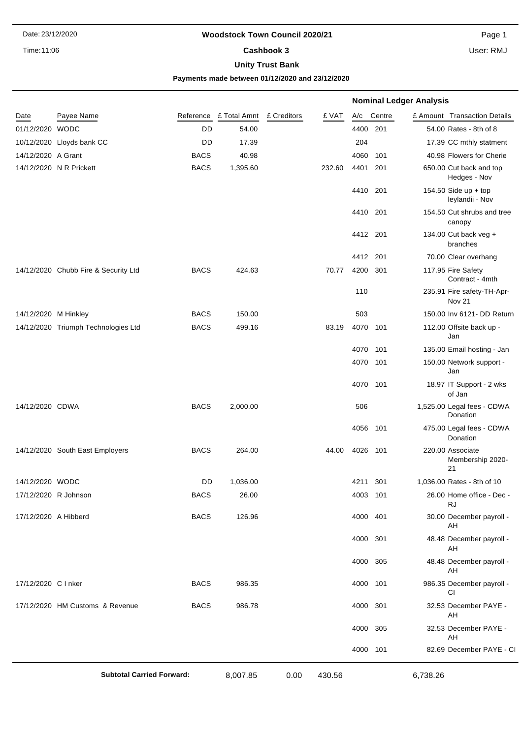# Date: 23/12/2020 **Woodstock Town Council 2020/21** Page 1

**Cashbook 3** Time:11:06 User: RMJ

# **Unity Trust Bank**

**Payments made between 01/12/2020 and 23/12/2020**

|                      |                                      |             |              |             |        |          |            | <b>Nominal Ledger Analysis</b> |                                             |
|----------------------|--------------------------------------|-------------|--------------|-------------|--------|----------|------------|--------------------------------|---------------------------------------------|
| Date                 | Payee Name                           | Reference   | £ Total Amnt | £ Creditors | £ VAT  |          | A/c Centre |                                | £ Amount Transaction Details                |
| 01/12/2020 WODC      |                                      | DD          | 54.00        |             |        | 4400     | 201        |                                | 54.00 Rates - 8th of 8                      |
|                      | 10/12/2020 Lloyds bank CC            | DD          | 17.39        |             |        | 204      |            |                                | 17.39 CC mthly statment                     |
| 14/12/2020 A Grant   |                                      | <b>BACS</b> | 40.98        |             |        | 4060     | 101        |                                | 40.98 Flowers for Cherie                    |
|                      | 14/12/2020 N R Prickett              | <b>BACS</b> | 1,395.60     |             | 232.60 | 4401     | 201        |                                | 650.00 Cut back and top<br>Hedges - Nov     |
|                      |                                      |             |              |             |        | 4410 201 |            |                                | 154.50 Side up + top<br>leylandii - Nov     |
|                      |                                      |             |              |             |        | 4410     | 201        |                                | 154.50 Cut shrubs and tree<br>canopy        |
|                      |                                      |             |              |             |        | 4412 201 |            |                                | 134.00 Cut back veg +<br>branches           |
|                      |                                      |             |              |             |        | 4412 201 |            |                                | 70.00 Clear overhang                        |
|                      | 14/12/2020 Chubb Fire & Security Ltd | <b>BACS</b> | 424.63       |             | 70.77  | 4200     | 301        |                                | 117.95 Fire Safety<br>Contract - 4mth       |
|                      |                                      |             |              |             |        | 110      |            |                                | 235.91 Fire safety-TH-Apr-<br><b>Nov 21</b> |
| 14/12/2020 M Hinkley |                                      | <b>BACS</b> | 150.00       |             |        | 503      |            |                                | 150.00 Inv 6121- DD Return                  |
|                      | 14/12/2020 Triumph Technologies Ltd  | <b>BACS</b> | 499.16       |             | 83.19  | 4070     | 101        |                                | 112.00 Offsite back up -<br>Jan             |
|                      |                                      |             |              |             |        | 4070     | 101        |                                | 135.00 Email hosting - Jan                  |
|                      |                                      |             |              |             |        | 4070 101 |            |                                | 150.00 Network support -<br>Jan             |
|                      |                                      |             |              |             |        | 4070 101 |            |                                | 18.97 IT Support - 2 wks<br>of Jan          |
| 14/12/2020 CDWA      |                                      | <b>BACS</b> | 2,000.00     |             |        | 506      |            |                                | 1,525.00 Legal fees - CDWA<br>Donation      |
|                      |                                      |             |              |             |        | 4056     | 101        |                                | 475.00 Legal fees - CDWA<br>Donation        |
|                      | 14/12/2020 South East Employers      | <b>BACS</b> | 264.00       |             | 44.00  | 4026     | 101        |                                | 220.00 Associate<br>Membership 2020-<br>21  |
| 14/12/2020 WODC      |                                      | DD          | 1.036.00     |             |        | 4211     | 301        |                                | 1,036.00 Rates - 8th of 10                  |
| 17/12/2020 R Johnson |                                      | <b>BACS</b> | 26.00        |             |        | 4003 101 |            |                                | 26.00 Home office - Dec -<br><b>RJ</b>      |
| 17/12/2020 A Hibberd |                                      | <b>BACS</b> | 126.96       |             |        | 4000 401 |            |                                | 30.00 December payroll -<br>AH              |
|                      |                                      |             |              |             |        | 4000 301 |            |                                | 48.48 December payroll -<br>AH              |
|                      |                                      |             |              |             |        | 4000 305 |            |                                | 48.48 December payroll -<br>AH              |
| 17/12/2020 C I nker  |                                      | <b>BACS</b> | 986.35       |             |        | 4000 101 |            |                                | 986.35 December payroll -<br>CI             |
|                      | 17/12/2020 HM Customs & Revenue      | <b>BACS</b> | 986.78       |             |        | 4000 301 |            |                                | 32.53 December PAYE -<br>AH                 |
|                      |                                      |             |              |             |        | 4000 305 |            |                                | 32.53 December PAYE -<br>AH                 |
|                      |                                      |             |              |             |        | 4000 101 |            |                                | 82.69 December PAYE - CI                    |
|                      | <b>Subtotal Carried Forward:</b>     |             | 8,007.85     | 0.00        | 430.56 |          |            | 6,738.26                       |                                             |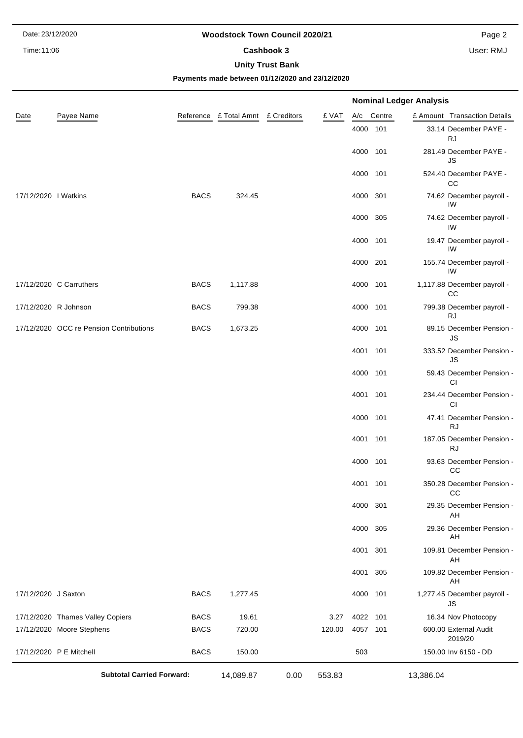**Cashbook 3** Time:11:06 User: RMJ

# Date: 23/12/2020 **Woodstock Town Council 2020/21** Page 2

# **Unity Trust Bank**

**Payments made between 01/12/2020 and 23/12/2020**

|                      |                                         |             |                                    |      |        |          |            | <b>Nominal Ledger Analysis</b> |                                        |
|----------------------|-----------------------------------------|-------------|------------------------------------|------|--------|----------|------------|--------------------------------|----------------------------------------|
| Date                 | Payee Name                              |             | Reference £ Total Amnt £ Creditors |      | £ VAT  |          | A/c Centre |                                | £ Amount Transaction Details           |
|                      |                                         |             |                                    |      |        | 4000 101 |            |                                | 33.14 December PAYE -<br><b>RJ</b>     |
|                      |                                         |             |                                    |      |        | 4000 101 |            |                                | 281.49 December PAYE -<br><b>JS</b>    |
|                      |                                         |             |                                    |      |        | 4000 101 |            |                                | 524.40 December PAYE -<br>CC           |
| 17/12/2020   Watkins |                                         | <b>BACS</b> | 324.45                             |      |        | 4000     | 301        |                                | 74.62 December payroll -<br>IW         |
|                      |                                         |             |                                    |      |        | 4000     | 305        |                                | 74.62 December payroll -<br>IW         |
|                      |                                         |             |                                    |      |        | 4000 101 |            |                                | 19.47 December payroll -<br>IW         |
|                      |                                         |             |                                    |      |        | 4000 201 |            |                                | 155.74 December payroll -<br>IW        |
|                      | 17/12/2020 C Carruthers                 | <b>BACS</b> | 1,117.88                           |      |        | 4000 101 |            |                                | 1,117.88 December payroll -<br>cc      |
|                      | 17/12/2020 R Johnson                    | <b>BACS</b> | 799.38                             |      |        | 4000 101 |            |                                | 799.38 December payroll -<br><b>RJ</b> |
|                      | 17/12/2020 OCC re Pension Contributions | <b>BACS</b> | 1,673.25                           |      |        | 4000     | 101        |                                | 89.15 December Pension -<br>JS         |
|                      |                                         |             |                                    |      |        | 4001     | 101        |                                | 333.52 December Pension -<br>JS        |
|                      |                                         |             |                                    |      |        | 4000 101 |            |                                | 59.43 December Pension -<br>CI         |
|                      |                                         |             |                                    |      |        | 4001 101 |            |                                | 234.44 December Pension -<br>CI        |
|                      |                                         |             |                                    |      |        | 4000 101 |            |                                | 47.41 December Pension -<br><b>RJ</b>  |
|                      |                                         |             |                                    |      |        | 4001 101 |            |                                | 187.05 December Pension -<br><b>RJ</b> |
|                      |                                         |             |                                    |      |        | 4000 101 |            |                                | 93.63 December Pension -<br>CC         |
|                      |                                         |             |                                    |      |        | 4001 101 |            |                                | 350.28 December Pension -<br>CС        |
|                      |                                         |             |                                    |      |        | 4000 301 |            |                                | 29.35 December Pension -<br>AH         |
|                      |                                         |             |                                    |      |        | 4000     | 305        |                                | 29.36 December Pension -<br>AH         |
|                      |                                         |             |                                    |      |        | 4001     | 301        |                                | 109.81 December Pension -<br>AH        |
|                      |                                         |             |                                    |      |        | 4001     | 305        |                                | 109.82 December Pension -<br>AH        |
| 17/12/2020 J Saxton  |                                         | <b>BACS</b> | 1,277.45                           |      |        | 4000 101 |            |                                | 1,277.45 December payroll -<br>JS      |
|                      | 17/12/2020 Thames Valley Copiers        | <b>BACS</b> | 19.61                              |      | 3.27   | 4022 101 |            |                                | 16.34 Nov Photocopy                    |
|                      | 17/12/2020 Moore Stephens               | <b>BACS</b> | 720.00                             |      | 120.00 | 4057 101 |            |                                | 600.00 External Audit<br>2019/20       |
|                      | 17/12/2020 P E Mitchell                 | <b>BACS</b> | 150.00                             |      |        | 503      |            |                                | 150.00 Inv 6150 - DD                   |
|                      | <b>Subtotal Carried Forward:</b>        |             | 14,089.87                          | 0.00 | 553.83 |          |            | 13,386.04                      |                                        |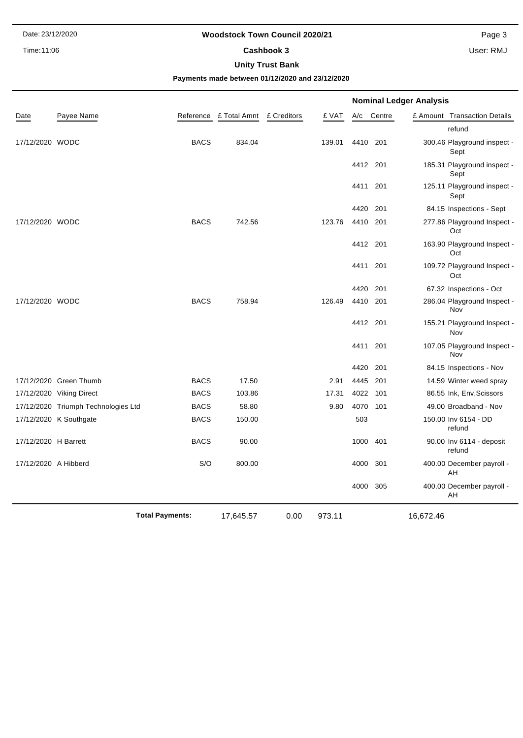#### **Cashbook 3** Time:11:06 User: RMJ

# Date: 23/12/2020 **Woodstock Town Council 2020/21 Page 3**

# **Unity Trust Bank**

**Payments made between 01/12/2020 and 23/12/2020**

|                      |                                     |             |              |             |        |             | <b>Nominal Ledger Analysis</b> |                                     |
|----------------------|-------------------------------------|-------------|--------------|-------------|--------|-------------|--------------------------------|-------------------------------------|
| Date                 | Payee Name                          | Reference   | £ Total Amnt | £ Creditors | £ VAT  | A/c         | Centre                         | £ Amount Transaction Details        |
|                      |                                     |             |              |             |        |             |                                | refund                              |
| 17/12/2020 WODC      |                                     | <b>BACS</b> | 834.04       |             | 139.01 | 4410 201    |                                | 300.46 Playground inspect -<br>Sept |
|                      |                                     |             |              |             |        | 4412 201    |                                | 185.31 Playground inspect -<br>Sept |
|                      |                                     |             |              |             |        | 4411<br>201 |                                | 125.11 Playground inspect -<br>Sept |
|                      |                                     |             |              |             |        | 4420<br>201 |                                | 84.15 Inspections - Sept            |
| 17/12/2020 WODC      |                                     | <b>BACS</b> | 742.56       |             | 123.76 | 4410 201    |                                | 277.86 Playground Inspect -<br>Oct  |
|                      |                                     |             |              |             |        | 4412 201    |                                | 163.90 Playground Inspect -<br>Oct  |
|                      |                                     |             |              |             |        | 4411<br>201 |                                | 109.72 Playground Inspect -<br>Oct  |
|                      |                                     |             |              |             |        | 4420<br>201 |                                | 67.32 Inspections - Oct             |
| 17/12/2020 WODC      |                                     | <b>BACS</b> | 758.94       |             | 126.49 | 4410<br>201 |                                | 286.04 Playground Inspect -<br>Nov  |
|                      |                                     |             |              |             |        | 4412 201    |                                | 155.21 Playground Inspect -<br>Nov  |
|                      |                                     |             |              |             |        | 201<br>4411 |                                | 107.05 Playground Inspect -<br>Nov  |
|                      |                                     |             |              |             |        | 4420 201    |                                | 84.15 Inspections - Nov             |
|                      | 17/12/2020 Green Thumb              | <b>BACS</b> | 17.50        |             | 2.91   | 4445<br>201 |                                | 14.59 Winter weed spray             |
|                      | 17/12/2020 Viking Direct            | <b>BACS</b> | 103.86       |             | 17.31  | 4022<br>101 |                                | 86.55 Ink, Env, Scissors            |
|                      | 17/12/2020 Triumph Technologies Ltd | <b>BACS</b> | 58.80        |             | 9.80   | 4070<br>101 |                                | 49.00 Broadband - Nov               |
|                      | 17/12/2020 K Southgate              | <b>BACS</b> | 150.00       |             |        | 503         |                                | 150.00 Inv 6154 - DD<br>refund      |
| 17/12/2020 H Barrett |                                     | <b>BACS</b> | 90.00        |             |        | 1000 401    |                                | 90.00 Inv 6114 - deposit<br>refund  |
| 17/12/2020 A Hibberd |                                     | S/O         | 800.00       |             |        | 4000<br>301 |                                | 400.00 December payroll -<br>AH     |
|                      |                                     |             |              |             |        | 4000<br>305 |                                | 400.00 December payroll -<br>AH     |
|                      | <b>Total Payments:</b>              |             | 17,645.57    | 0.00        | 973.11 |             | 16,672.46                      |                                     |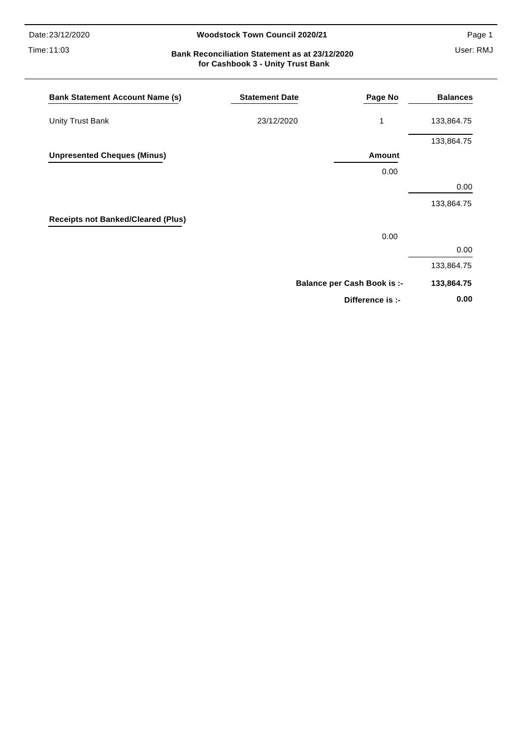Date: 23/12/2020

#### Time: 11:03

#### 23/12/2020 **Woodstock Town Council 2020/21**

Page 1

# User: RMJ **Bank Reconciliation Statement as at 23/12/2020 for Cashbook 3 - Unity Trust Bank**

| <b>Bank Statement Account Name (s)</b>    | <b>Statement Date</b> | Page No                            | <b>Balances</b> |
|-------------------------------------------|-----------------------|------------------------------------|-----------------|
| <b>Unity Trust Bank</b>                   | 23/12/2020            | 1                                  | 133,864.75      |
|                                           |                       |                                    | 133,864.75      |
| <b>Unpresented Cheques (Minus)</b>        |                       | Amount                             |                 |
|                                           |                       | 0.00                               |                 |
|                                           |                       |                                    | 0.00            |
|                                           |                       |                                    | 133,864.75      |
| <b>Receipts not Banked/Cleared (Plus)</b> |                       |                                    |                 |
|                                           |                       | 0.00                               |                 |
|                                           |                       |                                    | 0.00            |
|                                           |                       |                                    | 133,864.75      |
|                                           |                       | <b>Balance per Cash Book is :-</b> | 133,864.75      |
|                                           |                       | Difference is :-                   | 0.00            |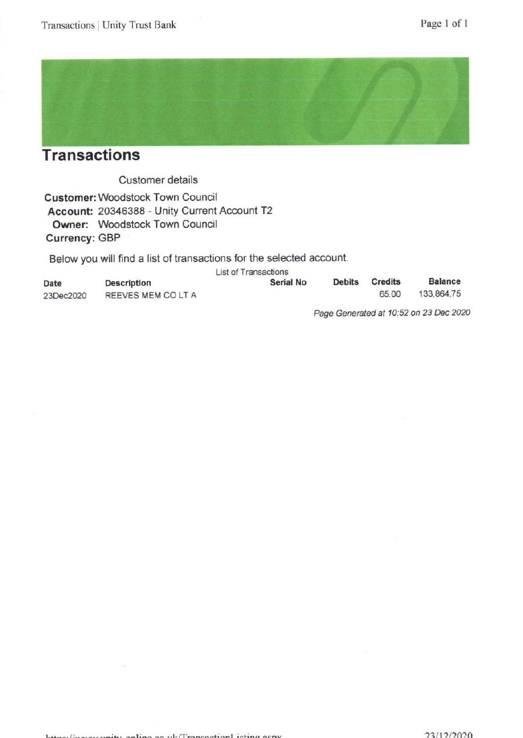![](_page_20_Picture_2.jpeg)

# **Transactions**

**Customer details** 

**Customer: Woodstock Town Council** Account: 20346388 - Unity Current Account T2 Owner: Woodstock Town Council **Currency: GBP** 

Below you will find a list of transactions for the selected account.

|           |                    | List of Transactions |               | <b>Credits</b> | <b>Balance</b> |
|-----------|--------------------|----------------------|---------------|----------------|----------------|
| Date      | <b>Description</b> | <b>Serial No</b>     | <b>Debits</b> |                |                |
| 23Dec2020 | REEVES MEM CO LT A |                      |               | 65.00          | 133.864.75     |
|           |                    |                      |               |                |                |

Page Generated at 10:52 on 23 Dec 2020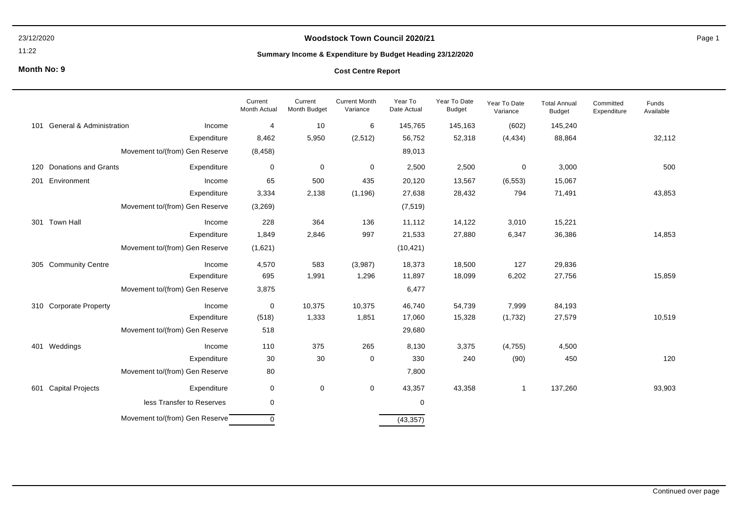### **Woodstock Town Council 2020/21**

11:22

#### **Month No: 9**

# **Summary Income & Expenditure by Budget Heading 23/12/2020**

#### **Cost Centre Report**

|     |                                     |                                | Current<br>Month Actual | Current<br>Month Budget | <b>Current Month</b><br>Variance | Year To<br>Date Actual | Year To Date<br><b>Budget</b> | Year To Date<br>Variance | <b>Total Annual</b><br><b>Budget</b> | Committed<br>Expenditure | Funds<br>Available |
|-----|-------------------------------------|--------------------------------|-------------------------|-------------------------|----------------------------------|------------------------|-------------------------------|--------------------------|--------------------------------------|--------------------------|--------------------|
| 101 | <b>General &amp; Administration</b> | Income                         | $\overline{4}$          | 10                      | 6                                | 145,765                | 145,163                       | (602)                    | 145,240                              |                          |                    |
|     |                                     | Expenditure                    | 8,462                   | 5,950                   | (2, 512)                         | 56,752                 | 52,318                        | (4, 434)                 | 88,864                               |                          | 32,112             |
|     |                                     | Movement to/(from) Gen Reserve | (8, 458)                |                         |                                  | 89,013                 |                               |                          |                                      |                          |                    |
| 120 | <b>Donations and Grants</b>         | Expenditure                    | 0                       | $\mathbf 0$             | $\mathbf 0$                      | 2,500                  | 2,500                         | 0                        | 3,000                                |                          | 500                |
| 201 | Environment                         | Income                         | 65                      | 500                     | 435                              | 20,120                 | 13,567                        | (6, 553)                 | 15,067                               |                          |                    |
|     |                                     | Expenditure                    | 3,334                   | 2,138                   | (1, 196)                         | 27,638                 | 28,432                        | 794                      | 71,491                               |                          | 43,853             |
|     |                                     | Movement to/(from) Gen Reserve | (3,269)                 |                         |                                  | (7, 519)               |                               |                          |                                      |                          |                    |
|     | 301 Town Hall                       | Income                         | 228                     | 364                     | 136                              | 11,112                 | 14,122                        | 3,010                    | 15,221                               |                          |                    |
|     |                                     | Expenditure                    | 1,849                   | 2,846                   | 997                              | 21,533                 | 27,880                        | 6,347                    | 36,386                               |                          | 14,853             |
|     |                                     | Movement to/(from) Gen Reserve | (1,621)                 |                         |                                  | (10, 421)              |                               |                          |                                      |                          |                    |
|     | 305 Community Centre                | Income                         | 4,570                   | 583                     | (3,987)                          | 18,373                 | 18,500                        | 127                      | 29,836                               |                          |                    |
|     |                                     | Expenditure                    | 695                     | 1,991                   | 1,296                            | 11,897                 | 18,099                        | 6,202                    | 27,756                               |                          | 15,859             |
|     |                                     | Movement to/(from) Gen Reserve | 3,875                   |                         |                                  | 6,477                  |                               |                          |                                      |                          |                    |
|     | 310 Corporate Property              | Income                         | $\mathbf 0$             | 10,375                  | 10,375                           | 46,740                 | 54,739                        | 7,999                    | 84,193                               |                          |                    |
|     |                                     | Expenditure                    | (518)                   | 1,333                   | 1,851                            | 17,060                 | 15,328                        | (1,732)                  | 27,579                               |                          | 10,519             |
|     |                                     | Movement to/(from) Gen Reserve | 518                     |                         |                                  | 29,680                 |                               |                          |                                      |                          |                    |
|     | 401 Weddings                        | Income                         | 110                     | 375                     | 265                              | 8,130                  | 3,375                         | (4, 755)                 | 4,500                                |                          |                    |
|     |                                     | Expenditure                    | 30                      | 30                      | 0                                | 330                    | 240                           | (90)                     | 450                                  |                          | 120                |
|     |                                     | Movement to/(from) Gen Reserve | 80                      |                         |                                  | 7,800                  |                               |                          |                                      |                          |                    |
| 601 | <b>Capital Projects</b>             | Expenditure                    | $\mathbf 0$             | $\mathbf 0$             | $\mathbf 0$                      | 43,357                 | 43,358                        | $\mathbf{1}$             | 137,260                              |                          | 93,903             |
|     |                                     | less Transfer to Reserves      | $\mathbf 0$             |                         |                                  | 0                      |                               |                          |                                      |                          |                    |
|     |                                     | Movement to/(from) Gen Reserve | 0                       |                         |                                  | (43, 357)              |                               |                          |                                      |                          |                    |

Page 1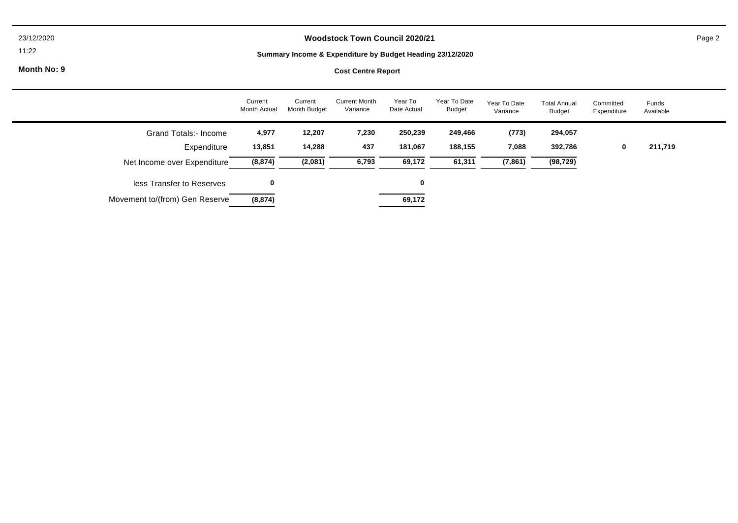### **Woodstock Town Council 2020/21**

11:22

# **Summary Income & Expenditure by Budget Heading 23/12/2020**

**Month No: 9**

#### **Cost Centre Report**

|                                | Current<br>Month Actual | Current<br>Month Budget | <b>Current Month</b><br>Variance | Year To<br>Date Actual | Year To Date<br><b>Budget</b> | Year To Date<br>Variance | <b>Total Annual</b><br><b>Budget</b> | Committed<br>Expenditure | Funds<br>Available |
|--------------------------------|-------------------------|-------------------------|----------------------------------|------------------------|-------------------------------|--------------------------|--------------------------------------|--------------------------|--------------------|
| Grand Totals:- Income          | 4,977                   | 12,207                  | 7,230                            | 250,239                | 249,466                       | (773)                    | 294,057                              |                          |                    |
| Expenditure                    | 13,851                  | 14,288                  | 437                              | 181,067                | 188,155                       | 7,088                    | 392,786                              | $\bf{0}$                 | 211,719            |
| Net Income over Expenditure    | (8, 874)                | (2,081)                 | 6,793                            | 69,172                 | 61,311                        | (7, 861)                 | (98, 729)                            |                          |                    |
| less Transfer to Reserves      | 0                       |                         |                                  | 0                      |                               |                          |                                      |                          |                    |
| Movement to/(from) Gen Reserve | (8, 874)                |                         |                                  | 69,172                 |                               |                          |                                      |                          |                    |

Page 2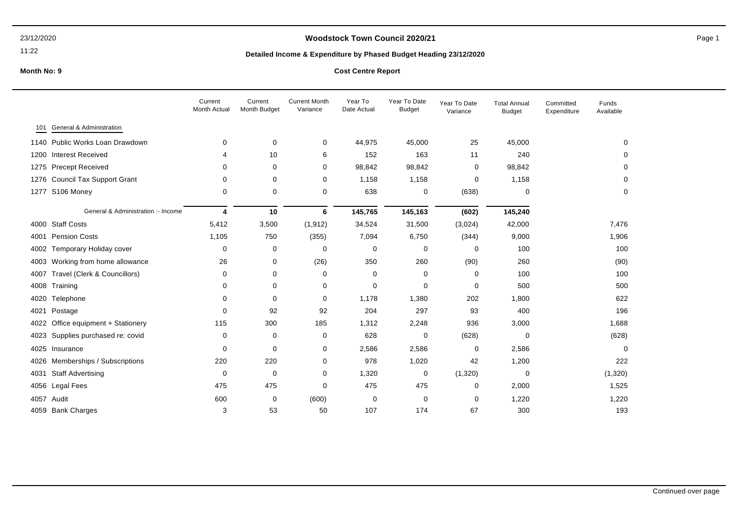#### 11:22

### **Woodstock Town Council 2020/21** Page 1

#### **Detailed Income & Expenditure by Phased Budget Heading 23/12/2020**

|                                      | Current<br>Month Actual | Current<br>Month Budget | <b>Current Month</b><br>Variance | Year To<br>Date Actual | Year To Date<br><b>Budget</b> | Year To Date<br>Variance | <b>Total Annual</b><br><b>Budget</b> | Committed<br>Expenditure | Funds<br>Available |
|--------------------------------------|-------------------------|-------------------------|----------------------------------|------------------------|-------------------------------|--------------------------|--------------------------------------|--------------------------|--------------------|
| General & Administration<br>101      |                         |                         |                                  |                        |                               |                          |                                      |                          |                    |
| 1140 Public Works Loan Drawdown      | 0                       | 0                       | 0                                | 44,975                 | 45,000                        | 25                       | 45,000                               |                          | 0                  |
| 1200 Interest Received               | 4                       | 10                      | 6                                | 152                    | 163                           | 11                       | 240                                  |                          | 0                  |
| 1275 Precept Received                | 0                       | 0                       | 0                                | 98,842                 | 98,842                        | 0                        | 98,842                               |                          | 0                  |
| 1276 Council Tax Support Grant       | 0                       | 0                       | 0                                | 1,158                  | 1,158                         | 0                        | 1,158                                |                          | 0                  |
| 1277 S106 Money                      | 0                       | 0                       | 0                                | 638                    | 0                             | (638)                    | 0                                    |                          | 0                  |
| General & Administration :- Income   |                         |                         |                                  |                        |                               |                          |                                      |                          |                    |
|                                      | 4                       | 10                      | 6                                | 145,765                | 145,163                       | (602)                    | 145,240                              |                          |                    |
| 4000 Staff Costs                     | 5,412                   | 3,500                   | (1, 912)                         | 34,524                 | 31,500                        | (3,024)                  | 42,000                               |                          | 7,476              |
| <b>Pension Costs</b><br>4001         | 1,105                   | 750                     | (355)                            | 7,094                  | 6,750                         | (344)                    | 9,000                                |                          | 1,906              |
| Temporary Holiday cover<br>4002      | 0                       | 0                       | 0                                | 0                      | 0                             | 0                        | 100                                  |                          | 100                |
| 4003 Working from home allowance     | 26                      | 0                       | (26)                             | 350                    | 260                           | (90)                     | 260                                  |                          | (90)               |
| Travel (Clerk & Councillors)<br>4007 | 0                       | 0                       | 0                                | 0                      | 0                             | 0                        | 100                                  |                          | 100                |
| 4008<br>Training                     | 0                       | 0                       | 0                                | 0                      | 0                             | 0                        | 500                                  |                          | 500                |
| Telephone<br>4020                    | $\Omega$                | 0                       | 0                                | 1,178                  | 1,380                         | 202                      | 1,800                                |                          | 622                |
| 4021 Postage                         | 0                       | 92                      | 92                               | 204                    | 297                           | 93                       | 400                                  |                          | 196                |
| 4022 Office equipment + Stationery   | 115                     | 300                     | 185                              | 1,312                  | 2,248                         | 936                      | 3,000                                |                          | 1,688              |
| 4023 Supplies purchased re: covid    | 0                       | 0                       | 0                                | 628                    | 0                             | (628)                    | 0                                    |                          | (628)              |
| 4025 Insurance                       | 0                       | 0                       | 0                                | 2,586                  | 2,586                         | 0                        | 2,586                                |                          | 0                  |
| 4026 Memberships / Subscriptions     | 220                     | 220                     | 0                                | 978                    | 1,020                         | 42                       | 1,200                                |                          | 222                |
| <b>Staff Advertising</b><br>4031     | 0                       | 0                       | 0                                | 1,320                  | 0                             | (1,320)                  | 0                                    |                          | (1,320)            |
| 4056 Legal Fees                      | 475                     | 475                     | 0                                | 475                    | 475                           | 0                        | 2,000                                |                          | 1,525              |
| 4057 Audit                           | 600                     | 0                       | (600)                            | 0                      | 0                             | 0                        | 1,220                                |                          | 1,220              |
| 4059 Bank Charges                    | 3                       | 53                      | 50                               | 107                    | 174                           | 67                       | 300                                  |                          | 193                |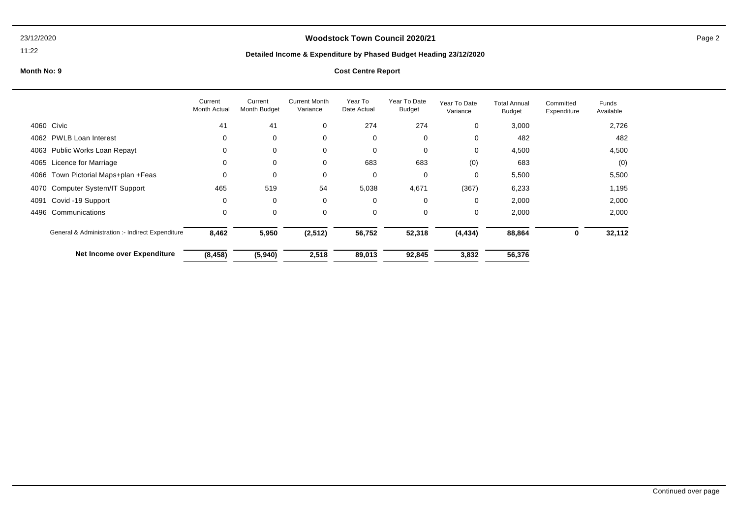11:22

### **Woodstock Town Council 2020/21** Page 2

# **Detailed Income & Expenditure by Phased Budget Heading 23/12/2020**

|                                                  | Current<br>Month Actual | Current<br>Month Budget | <b>Current Month</b><br>Variance | Year To<br>Date Actual | Year To Date<br><b>Budget</b> | Year To Date<br>Variance | <b>Total Annual</b><br>Budget | Committed<br>Expenditure | Funds<br>Available |
|--------------------------------------------------|-------------------------|-------------------------|----------------------------------|------------------------|-------------------------------|--------------------------|-------------------------------|--------------------------|--------------------|
| Civic<br>4060                                    | 41                      | 41                      | $\mathbf 0$                      | 274                    | 274                           | 0                        | 3,000                         |                          | 2,726              |
| 4062 PWLB Loan Interest                          | 0                       | 0                       | 0                                | 0                      | 0                             | 0                        | 482                           |                          | 482                |
| 4063 Public Works Loan Repayt                    | $\Omega$                | 0                       | 0                                | $\mathbf 0$            | 0                             | $\mathbf 0$              | 4,500                         |                          | 4,500              |
| Licence for Marriage<br>4065                     | $\Omega$                | 0                       | 0                                | 683                    | 683                           | (0)                      | 683                           |                          | (0)                |
| 4066 Town Pictorial Maps+plan +Feas              | $\Omega$                | $\mathbf 0$             | 0                                | $\mathbf 0$            | $\mathbf 0$                   | $\mathbf 0$              | 5,500                         |                          | 5,500              |
| <b>Computer System/IT Support</b><br>4070        | 465                     | 519                     | 54                               | 5,038                  | 4,671                         | (367)                    | 6,233                         |                          | 1,195              |
| Covid -19 Support<br>4091                        | 0                       | $\mathbf 0$             | $\mathbf 0$                      | $\mathbf 0$            | 0                             | 0                        | 2,000                         |                          | 2,000              |
| 4496<br>Communications                           | $\Omega$                | 0                       | 0                                | $\mathbf 0$            | $\Omega$                      | $\mathbf 0$              | 2,000                         |                          | 2,000              |
| General & Administration :- Indirect Expenditure | 8,462                   | 5,950                   | (2,512)                          | 56,752                 | 52,318                        | (4, 434)                 | 88,864                        | 0                        | 32,112             |
| Net Income over Expenditure                      | (8, 458)                | (5,940)                 | 2,518                            | 89,013                 | 92,845                        | 3,832                    | 56,376                        |                          |                    |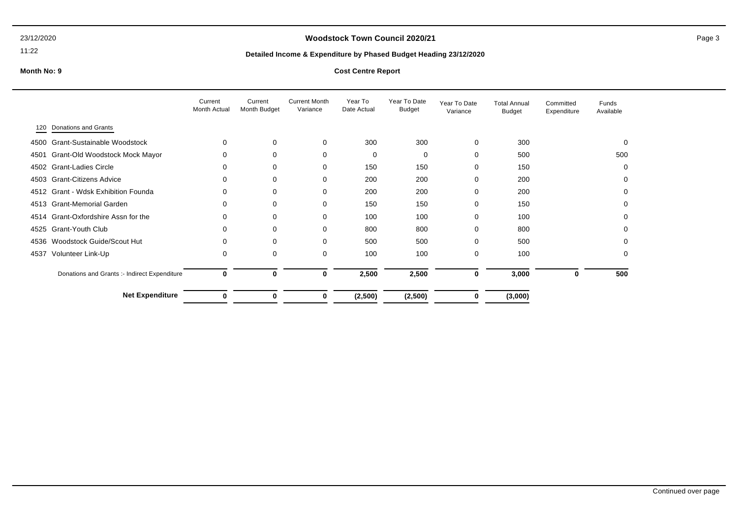#### 11:22

### **Woodstock Town Council 2020/21** Page 3

#### **Detailed Income & Expenditure by Phased Budget Heading 23/12/2020**

|                                              | Current<br>Month Actual | Current<br>Month Budget | <b>Current Month</b><br>Variance | Year To<br>Date Actual | Year To Date<br>Budget | Year To Date<br>Variance | <b>Total Annual</b><br><b>Budget</b> | Committed<br>Expenditure | Funds<br>Available |  |
|----------------------------------------------|-------------------------|-------------------------|----------------------------------|------------------------|------------------------|--------------------------|--------------------------------------|--------------------------|--------------------|--|
| Donations and Grants<br>120                  |                         |                         |                                  |                        |                        |                          |                                      |                          |                    |  |
| 4500 Grant-Sustainable Woodstock             | 0                       | $\mathbf 0$             | 0                                | 300                    | 300                    | 0                        | 300                                  |                          | 0                  |  |
| Grant-Old Woodstock Mock Mayor<br>4501       | $\mathbf 0$             | $\mathbf 0$             | 0                                | 0                      | 0                      | 0                        | 500                                  |                          | 500                |  |
| 4502 Grant-Ladies Circle                     | 0                       | $\Omega$                | $\mathbf 0$                      | 150                    | 150                    | 0                        | 150                                  |                          | 0                  |  |
| 4503 Grant-Citizens Advice                   | 0                       | 0                       | 0                                | 200                    | 200                    | 0                        | 200                                  |                          | $\Omega$           |  |
| 4512 Grant - Wdsk Exhibition Founda          | 0                       | $\Omega$                | 0                                | 200                    | 200                    | 0                        | 200                                  |                          | $\Omega$           |  |
| 4513 Grant-Memorial Garden                   | 0                       | $\Omega$                | 0                                | 150                    | 150                    | 0                        | 150                                  |                          | $\Omega$           |  |
| Grant-Oxfordshire Assn for the<br>4514       | 0                       | 0                       | 0                                | 100                    | 100                    | 0                        | 100                                  |                          | $\Omega$           |  |
| 4525 Grant-Youth Club                        | 0                       | 0                       | 0                                | 800                    | 800                    | 0                        | 800                                  |                          | $\Omega$           |  |
| 4536 Woodstock Guide/Scout Hut               | $\Omega$                | $\Omega$                | $\mathbf 0$                      | 500                    | 500                    | 0                        | 500                                  |                          | $\Omega$           |  |
| Volunteer Link-Up<br>4537                    | 0                       | $\mathbf 0$             | 0                                | 100                    | 100                    | $\mathbf 0$              | 100                                  |                          | $\mathbf 0$        |  |
| Donations and Grants :- Indirect Expenditure | 0                       | 0                       | 0                                | 2,500                  | 2,500                  | 0                        | 3,000                                | 0                        | 500                |  |
| <b>Net Expenditure</b>                       | 0                       | 0                       | 0                                | (2,500)                | (2,500)                | 0                        | (3,000)                              |                          |                    |  |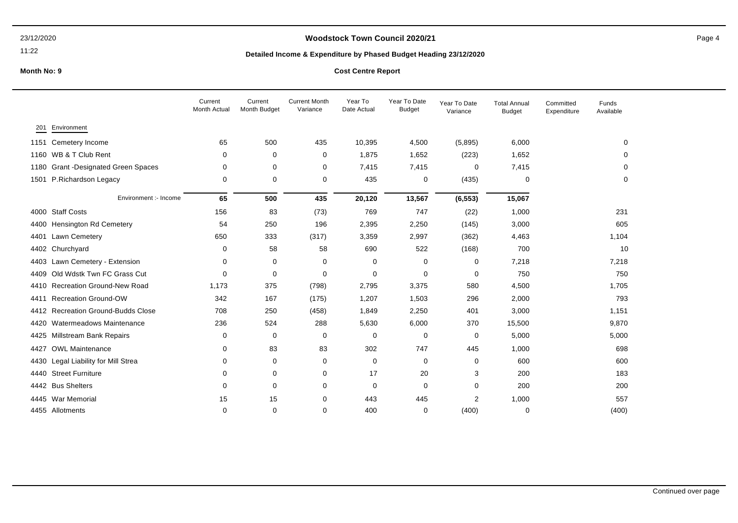#### 11:22

### **Woodstock Town Council 2020/21** Page 4

#### **Detailed Income & Expenditure by Phased Budget Heading 23/12/2020**

|                                      | Current<br>Month Actual | Current<br>Month Budget | <b>Current Month</b><br>Variance | Year To<br>Date Actual | Year To Date<br>Budget | Year To Date<br>Variance | <b>Total Annual</b><br><b>Budget</b> | Committed<br>Expenditure | Funds<br>Available |
|--------------------------------------|-------------------------|-------------------------|----------------------------------|------------------------|------------------------|--------------------------|--------------------------------------|--------------------------|--------------------|
| 201 Environment                      |                         |                         |                                  |                        |                        |                          |                                      |                          |                    |
| 1151 Cemetery Income                 | 65                      | 500                     | 435                              | 10,395                 | 4,500                  | (5,895)                  | 6,000                                |                          | 0                  |
| 1160 WB & T Club Rent                | 0                       | 0                       | 0                                | 1,875                  | 1,652                  | (223)                    | 1,652                                |                          | 0                  |
| 1180 Grant - Designated Green Spaces | 0                       | 0                       | 0                                | 7,415                  | 7,415                  | 0                        | 7,415                                |                          | 0                  |
| 1501 P.Richardson Legacy             | 0                       | 0                       | 0                                | 435                    | 0                      | (435)                    | 0                                    |                          | 0                  |
| Environment :- Income                | 65                      | 500                     | 435                              | 20,120                 | 13,567                 | (6, 553)                 | 15,067                               |                          |                    |
| 4000 Staff Costs                     | 156                     | 83                      | (73)                             | 769                    | 747                    | (22)                     | 1,000                                |                          | 231                |
| 4400 Hensington Rd Cemetery          | 54                      | 250                     | 196                              | 2,395                  | 2,250                  | (145)                    | 3,000                                |                          | 605                |
| 4401 Lawn Cemetery                   | 650                     | 333                     | (317)                            | 3,359                  | 2,997                  | (362)                    | 4,463                                |                          | 1,104              |
| 4402 Churchyard                      | 0                       | 58                      | 58                               | 690                    | 522                    | (168)                    | 700                                  |                          | 10                 |
| 4403 Lawn Cemetery - Extension       | $\mathbf 0$             | 0                       | 0                                | $\mathbf 0$            | 0                      | 0                        | 7,218                                |                          | 7,218              |
| 4409 Old Wdstk Twn FC Grass Cut      | $\mathbf 0$             | 0                       | 0                                | 0                      | 0                      | $\mathbf 0$              | 750                                  |                          | 750                |
| 4410 Recreation Ground-New Road      | 1,173                   | 375                     | (798)                            | 2,795                  | 3,375                  | 580                      | 4,500                                |                          | 1,705              |
| 4411 Recreation Ground-OW            | 342                     | 167                     | (175)                            | 1,207                  | 1,503                  | 296                      | 2,000                                |                          | 793                |
| 4412 Recreation Ground-Budds Close   | 708                     | 250                     | (458)                            | 1,849                  | 2,250                  | 401                      | 3,000                                |                          | 1,151              |
| 4420 Watermeadows Maintenance        | 236                     | 524                     | 288                              | 5,630                  | 6,000                  | 370                      | 15,500                               |                          | 9,870              |
| 4425 Millstream Bank Repairs         | 0                       | 0                       | 0                                | 0                      | 0                      | 0                        | 5,000                                |                          | 5,000              |
| 4427 OWL Maintenance                 | 0                       | 83                      | 83                               | 302                    | 747                    | 445                      | 1,000                                |                          | 698                |
| 4430 Legal Liability for Mill Strea  | 0                       | 0                       | 0                                | 0                      | 0                      | 0                        | 600                                  |                          | 600                |
| 4440 Street Furniture                | $\Omega$                | 0                       | 0                                | 17                     | 20                     | 3                        | 200                                  |                          | 183                |
| 4442 Bus Shelters                    | $\Omega$                | 0                       | 0                                | 0                      | 0                      | 0                        | 200                                  |                          | 200                |
| 4445 War Memorial                    | 15                      | 15                      | 0                                | 443                    | 445                    | 2                        | 1,000                                |                          | 557                |
| 4455 Allotments                      | $\mathbf 0$             | 0                       | 0                                | 400                    | 0                      | (400)                    | $\mathbf 0$                          |                          | (400)              |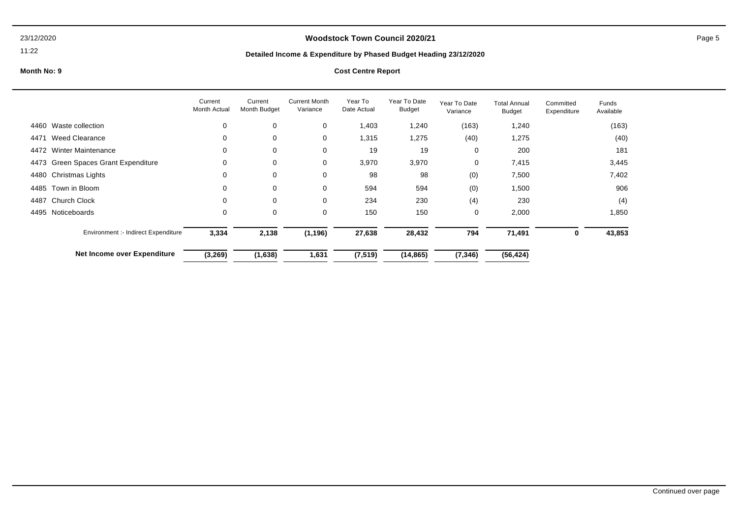### **Woodstock Town Council 2020/21** Page 5

11:22

#### **Detailed Income & Expenditure by Phased Budget Heading 23/12/2020**

|                                               | Current<br>Month Actual | Current<br>Month Budget | <b>Current Month</b><br>Variance | Year To<br>Date Actual | Year To Date<br><b>Budget</b> | Year To Date<br>Variance | <b>Total Annual</b><br>Budget | Committed<br>Expenditure | <b>Funds</b><br>Available |
|-----------------------------------------------|-------------------------|-------------------------|----------------------------------|------------------------|-------------------------------|--------------------------|-------------------------------|--------------------------|---------------------------|
| Waste collection<br>4460                      | 0                       | 0                       | 0                                | 1,403                  | 1,240                         | (163)                    | 1,240                         |                          | (163)                     |
| Weed Clearance<br>4471                        | 0                       | 0                       | 0                                | 1,315                  | 1,275                         | (40)                     | 1,275                         |                          | (40)                      |
| <b>Winter Maintenance</b><br>4472             | 0                       | 0                       | 0                                | 19                     | 19                            | 0                        | 200                           |                          | 181                       |
| <b>Green Spaces Grant Expenditure</b><br>4473 | 0                       | 0                       | 0                                | 3,970                  | 3,970                         | 0                        | 7,415                         |                          | 3,445                     |
| Christmas Lights<br>4480                      | 0                       | 0                       | 0                                | 98                     | 98                            | (0)                      | 7,500                         |                          | 7,402                     |
| Town in Bloom<br>4485                         | 0                       | 0                       | 0                                | 594                    | 594                           | (0)                      | 1,500                         |                          | 906                       |
| Church Clock<br>4487                          | 0                       | 0                       | $\mathbf 0$                      | 234                    | 230                           | (4)                      | 230                           |                          | (4)                       |
| 4495<br>Noticeboards                          | 0                       | 0                       | 0                                | 150                    | 150                           | 0                        | 2,000                         |                          | 1,850                     |
| Environment :- Indirect Expenditure           | 3,334                   | 2,138                   | (1, 196)                         | 27,638                 | 28,432                        | 794                      | 71,491                        | 0                        | 43,853                    |
| Net Income over Expenditure                   | (3, 269)                | (1,638)                 | 1,631                            | (7, 519)               | (14, 865)                     | (7, 346)                 | (56, 424)                     |                          |                           |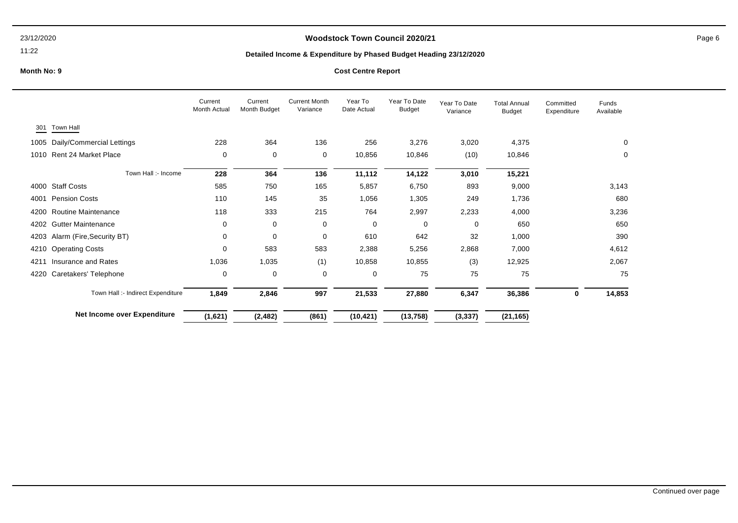#### 11:22

### **Woodstock Town Council 2020/21** Page 6

# **Detailed Income & Expenditure by Phased Budget Heading 23/12/2020**

|                  |                                   | Current<br>Month Actual | Current<br>Month Budget | <b>Current Month</b><br>Variance | Year To<br>Date Actual | Year To Date<br>Budget | Year To Date<br>Variance | <b>Total Annual</b><br><b>Budget</b> | Committed<br>Expenditure | Funds<br>Available |  |
|------------------|-----------------------------------|-------------------------|-------------------------|----------------------------------|------------------------|------------------------|--------------------------|--------------------------------------|--------------------------|--------------------|--|
| Town Hall<br>301 |                                   |                         |                         |                                  |                        |                        |                          |                                      |                          |                    |  |
| 1005             | Daily/Commercial Lettings         | 228                     | 364                     | 136                              | 256                    | 3,276                  | 3,020                    | 4,375                                |                          | 0                  |  |
| 1010             | Rent 24 Market Place              | $\mathbf 0$             | 0                       | 0                                | 10,856                 | 10,846                 | (10)                     | 10,846                               |                          | 0                  |  |
|                  | Town Hall :- Income               | 228                     | 364                     | 136                              | 11,112                 | 14,122                 | 3,010                    | 15,221                               |                          |                    |  |
| 4000             | <b>Staff Costs</b>                | 585                     | 750                     | 165                              | 5,857                  | 6,750                  | 893                      | 9,000                                |                          | 3,143              |  |
| 4001             | <b>Pension Costs</b>              | 110                     | 145                     | 35                               | 1,056                  | 1,305                  | 249                      | 1,736                                |                          | 680                |  |
| 4200             | <b>Routine Maintenance</b>        | 118                     | 333                     | 215                              | 764                    | 2,997                  | 2,233                    | 4,000                                |                          | 3,236              |  |
|                  | 4202 Gutter Maintenance           | 0                       | 0                       | 0                                | 0                      | 0                      | 0                        | 650                                  |                          | 650                |  |
|                  | 4203 Alarm (Fire, Security BT)    | 0                       | 0                       | 0                                | 610                    | 642                    | 32                       | 1,000                                |                          | 390                |  |
|                  | 4210 Operating Costs              | $\Omega$                | 583                     | 583                              | 2,388                  | 5,256                  | 2,868                    | 7,000                                |                          | 4,612              |  |
| 4211             | Insurance and Rates               | 1,036                   | 1,035                   | (1)                              | 10,858                 | 10,855                 | (3)                      | 12,925                               |                          | 2,067              |  |
| 4220             | Caretakers' Telephone             | 0                       | 0                       | 0                                | 0                      | 75                     | 75                       | 75                                   |                          | 75                 |  |
|                  | Town Hall :- Indirect Expenditure | 1,849                   | 2,846                   | 997                              | 21,533                 | 27,880                 | 6,347                    | 36,386                               | 0                        | 14,853             |  |
|                  | Net Income over Expenditure       | (1,621)                 | (2, 482)                | (861)                            | (10, 421)              | (13, 758)              | (3, 337)                 | (21, 165)                            |                          |                    |  |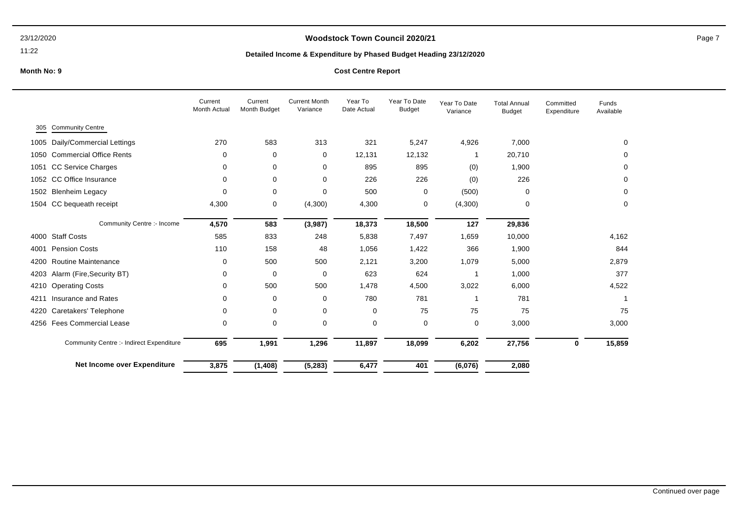#### 11:22

### **Woodstock Town Council 2020/21** Page 7

#### **Detailed Income & Expenditure by Phased Budget Heading 23/12/2020**

|                                          |                            | Current<br>Month Actual | Current<br>Month Budget | <b>Current Month</b><br>Variance | Year To<br>Date Actual | Year To Date<br><b>Budget</b> | Year To Date<br>Variance | <b>Total Annual</b><br><b>Budget</b> | Committed<br>Expenditure | Funds<br>Available |
|------------------------------------------|----------------------------|-------------------------|-------------------------|----------------------------------|------------------------|-------------------------------|--------------------------|--------------------------------------|--------------------------|--------------------|
| 305 Community Centre                     |                            |                         |                         |                                  |                        |                               |                          |                                      |                          |                    |
| 1005 Daily/Commercial Lettings           |                            | 270                     | 583                     | 313                              | 321                    | 5,247                         | 4,926                    | 7,000                                |                          | 0                  |
| <b>Commercial Office Rents</b><br>1050   |                            | $\mathbf 0$             | 0                       | 0                                | 12,131                 | 12,132                        |                          | 20,710                               |                          | 0                  |
| <b>CC Service Charges</b><br>1051        |                            | 0                       | 0                       | 0                                | 895                    | 895                           | (0)                      | 1,900                                |                          | 0                  |
| 1052 CC Office Insurance                 |                            | 0                       | $\mathbf 0$             | 0                                | 226                    | 226                           | (0)                      | 226                                  |                          | 0                  |
| 1502 Blenheim Legacy                     |                            | $\Omega$                | 0                       | 0                                | 500                    | 0                             | (500)                    | 0                                    |                          | 0                  |
| 1504 CC bequeath receipt                 |                            | 4,300                   | 0                       | (4,300)                          | 4,300                  | 0                             | (4,300)                  | 0                                    |                          | 0                  |
|                                          | Community Centre :- Income | 4,570                   | 583                     | (3,987)                          | 18,373                 | 18,500                        | 127                      | 29,836                               |                          |                    |
| <b>Staff Costs</b><br>4000               |                            | 585                     | 833                     | 248                              | 5,838                  | 7,497                         | 1,659                    | 10,000                               |                          | 4,162              |
| <b>Pension Costs</b><br>4001             |                            | 110                     | 158                     | 48                               | 1,056                  | 1,422                         | 366                      | 1,900                                |                          | 844                |
| <b>Routine Maintenance</b><br>4200       |                            | 0                       | 500                     | 500                              | 2,121                  | 3,200                         | 1,079                    | 5,000                                |                          | 2,879              |
| Alarm (Fire, Security BT)<br>4203        |                            | 0                       | $\mathbf 0$             | 0                                | 623                    | 624                           |                          | 1,000                                |                          | 377                |
| <b>Operating Costs</b><br>4210           |                            | 0                       | 500                     | 500                              | 1,478                  | 4,500                         | 3,022                    | 6,000                                |                          | 4,522              |
| Insurance and Rates<br>4211              |                            | $\Omega$                | 0                       | 0                                | 780                    | 781                           |                          | 781                                  |                          |                    |
| Caretakers' Telephone<br>4220            |                            | $\Omega$                | 0                       | 0                                | 0                      | 75                            | 75                       | 75                                   |                          | 75                 |
| 4256 Fees Commercial Lease               |                            | 0                       | $\mathbf 0$             | $\mathbf 0$                      | $\mathbf 0$            | 0                             | $\mathbf 0$              | 3,000                                |                          | 3,000              |
| Community Centre :- Indirect Expenditure |                            | 695                     | 1,991                   | 1,296                            | 11,897                 | 18,099                        | 6,202                    | 27,756                               | $\mathbf 0$              | 15,859             |
| Net Income over Expenditure              |                            | 3,875                   | (1, 408)                | (5, 283)                         | 6,477                  | 401                           | (6,076)                  | 2,080                                |                          |                    |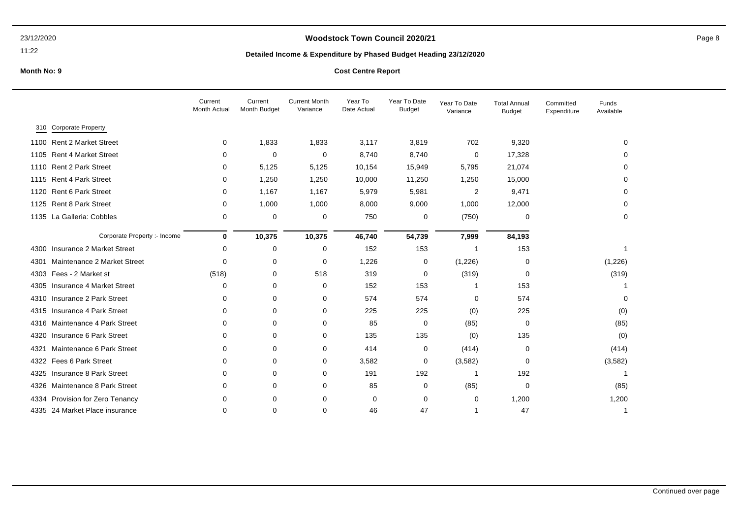#### 11:22

### **Woodstock Town Council 2020/21** Page 8

#### **Detailed Income & Expenditure by Phased Budget Heading 23/12/2020**

|                                  | Current<br>Month Actual | Current<br>Month Budget | <b>Current Month</b><br>Variance | Year To<br>Date Actual | Year To Date<br><b>Budget</b> | Year To Date<br>Variance | <b>Total Annual</b><br><b>Budget</b> | Committed<br>Expenditure | Funds<br>Available |
|----------------------------------|-------------------------|-------------------------|----------------------------------|------------------------|-------------------------------|--------------------------|--------------------------------------|--------------------------|--------------------|
| 310 Corporate Property           |                         |                         |                                  |                        |                               |                          |                                      |                          |                    |
| 1100 Rent 2 Market Street        | 0                       | 1,833                   | 1,833                            | 3,117                  | 3,819                         | 702                      | 9,320                                |                          | 0                  |
| 1105 Rent 4 Market Street        | $\Omega$                | 0                       | 0                                | 8,740                  | 8,740                         | 0                        | 17,328                               |                          | ∩                  |
| 1110 Rent 2 Park Street          | 0                       | 5,125                   | 5,125                            | 10,154                 | 15,949                        | 5,795                    | 21,074                               |                          |                    |
| 1115 Rent 4 Park Street          | 0                       | 1,250                   | 1,250                            | 10,000                 | 11,250                        | 1,250                    | 15,000                               |                          |                    |
| 1120 Rent 6 Park Street          | O                       | 1,167                   | 1,167                            | 5,979                  | 5,981                         | $\overline{2}$           | 9,471                                |                          | <sup>0</sup>       |
| 1125 Rent 8 Park Street          | O                       | 1,000                   | 1,000                            | 8,000                  | 9,000                         | 1,000                    | 12,000                               |                          |                    |
| 1135 La Galleria: Cobbles        | $\Omega$                | 0                       | 0                                | 750                    | 0                             | (750)                    | 0                                    |                          | 0                  |
| Corporate Property :- Income     | 0                       | 10,375                  | 10,375                           | 46,740                 | 54,739                        | 7,999                    | 84,193                               |                          |                    |
| 4300 Insurance 2 Market Street   | $\Omega$                | 0                       | 0                                | 152                    | 153                           |                          | 153                                  |                          |                    |
| 4301 Maintenance 2 Market Street | $\Omega$                | 0                       | 0                                | 1,226                  | 0                             | (1,226)                  | 0                                    |                          | (1,226)            |
| 4303 Fees - 2 Market st          | (518)                   | 0                       | 518                              | 319                    | 0                             | (319)                    | 0                                    |                          | (319)              |
| 4305 Insurance 4 Market Street   | $\Omega$                | 0                       | 0                                | 152                    | 153                           |                          | 153                                  |                          |                    |
| Insurance 2 Park Street<br>4310  | O                       | 0                       | 0                                | 574                    | 574                           | 0                        | 574                                  |                          | 0                  |
| 4315 Insurance 4 Park Street     | ∩                       | 0                       | 0                                | 225                    | 225                           | (0)                      | 225                                  |                          | (0)                |
| 4316 Maintenance 4 Park Street   | O                       | 0                       | 0                                | 85                     | 0                             | (85)                     | 0                                    |                          | (85)               |
| 4320 Insurance 6 Park Street     | ∩                       | 0                       | 0                                | 135                    | 135                           | (0)                      | 135                                  |                          | (0)                |
| 4321 Maintenance 6 Park Street   | ∩                       | 0                       | 0                                | 414                    | 0                             | (414)                    | 0                                    |                          | (414)              |
| 4322 Fees 6 Park Street          |                         | 0                       | 0                                | 3,582                  | 0                             | (3, 582)                 | 0                                    |                          | (3, 582)           |
| 4325 Insurance 8 Park Street     |                         | 0                       | $\Omega$                         | 191                    | 192                           |                          | 192                                  |                          |                    |
| 4326 Maintenance 8 Park Street   |                         | 0                       | 0                                | 85                     | 0                             | (85)                     | 0                                    |                          | (85)               |
| 4334 Provision for Zero Tenancy  | n                       | 0                       | $\Omega$                         | 0                      | 0                             | 0                        | 1,200                                |                          | 1,200              |
| 4335 24 Market Place insurance   | ∩                       | $\mathbf 0$             | 0                                | 46                     | 47                            |                          | 47                                   |                          |                    |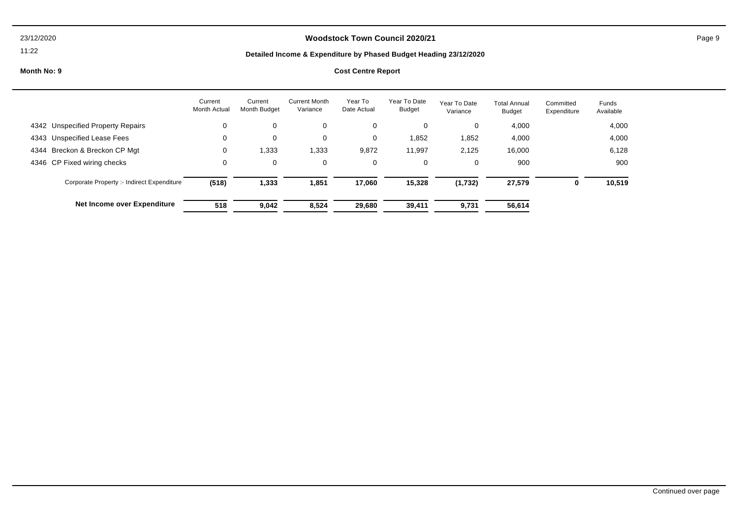### **Woodstock Town Council 2020/21** Page 9

11:22

#### **Detailed Income & Expenditure by Phased Budget Heading 23/12/2020**

|                                            | Current<br><b>Month Actual</b> | Current<br>Month Budget | <b>Current Month</b><br>Variance | Year To<br>Date Actual | Year To Date<br>Budget | Year To Date<br>Variance | <b>Total Annual</b><br><b>Budget</b> | Committed<br>Expenditure | Funds<br>Available |
|--------------------------------------------|--------------------------------|-------------------------|----------------------------------|------------------------|------------------------|--------------------------|--------------------------------------|--------------------------|--------------------|
| 4342 Unspecified Property Repairs          | 0                              | 0                       | 0                                | 0                      | 0                      | 0                        | 4,000                                |                          | 4,000              |
| 4343 Unspecified Lease Fees                | 0                              | 0                       | 0                                | 0                      | 1,852                  | 1,852                    | 4,000                                |                          | 4,000              |
| 4344 Breckon & Breckon CP Mgt              | 0                              | 1,333                   | 1,333                            | 9.872                  | 11.997                 | 2,125                    | 16,000                               |                          | 6,128              |
| 4346 CP Fixed wiring checks                | 0                              | 0                       | 0                                | 0                      | 0                      | 0                        | 900                                  |                          | 900                |
| Corporate Property :- Indirect Expenditure | (518)                          | 1,333                   | 1,851                            | 17.060                 | 15,328                 | (1,732)                  | 27,579                               | 0                        | 10,519             |
| Net Income over Expenditure                | 518                            | 9,042                   | 8,524                            | 29.680                 | 39,411                 | 9,731                    | 56,614                               |                          |                    |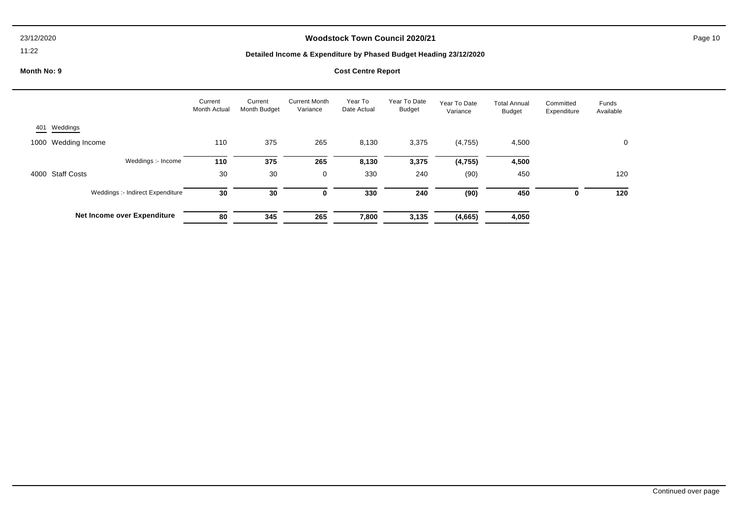### **Woodstock Town Council 2020/21** Page 10

11:22

#### **Detailed Income & Expenditure by Phased Budget Heading 23/12/2020**

|                                  | Current<br><b>Month Actual</b> | Current<br>Month Budget | <b>Current Month</b><br>Variance | Year To<br>Date Actual | Year To Date<br><b>Budget</b> | Year To Date<br>Variance | <b>Total Annual</b><br><b>Budget</b> | Committed<br>Expenditure | Funds<br>Available |  |
|----------------------------------|--------------------------------|-------------------------|----------------------------------|------------------------|-------------------------------|--------------------------|--------------------------------------|--------------------------|--------------------|--|
| Weddings<br>401                  |                                |                         |                                  |                        |                               |                          |                                      |                          |                    |  |
| Wedding Income<br>1000           | 110                            | 375                     | 265                              | 8,130                  | 3,375                         | (4, 755)                 | 4,500                                |                          | 0                  |  |
| Weddings :- Income               | 110                            | 375                     | 265                              | 8,130                  | 3,375                         | (4, 755)                 | 4,500                                |                          |                    |  |
| <b>Staff Costs</b><br>4000       | 30                             | 30                      | 0                                | 330                    | 240                           | (90)                     | 450                                  |                          | 120                |  |
| Weddings :- Indirect Expenditure | 30                             | 30                      | $\mathbf 0$                      | 330                    | 240                           | (90)                     | 450                                  | 0                        | 120                |  |
| Net Income over Expenditure      | 80                             | 345                     | 265                              | 7,800                  | 3,135                         | (4,665)                  | 4,050                                |                          |                    |  |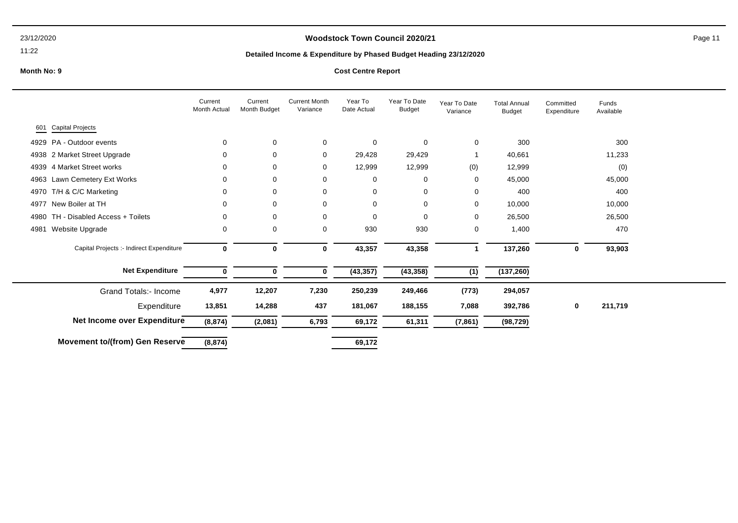### 11:22

### **Woodstock Town Council 2020/21 Page 11**

#### **Detailed Income & Expenditure by Phased Budget Heading 23/12/2020**

|      |                                          | Current<br>Month Actual | Current<br>Month Budget | <b>Current Month</b><br>Variance | Year To<br>Date Actual | Year To Date<br>Budget | Year To Date<br>Variance | <b>Total Annual</b><br><b>Budget</b> | Committed<br>Expenditure | Funds<br>Available |  |
|------|------------------------------------------|-------------------------|-------------------------|----------------------------------|------------------------|------------------------|--------------------------|--------------------------------------|--------------------------|--------------------|--|
| 601  | Capital Projects                         |                         |                         |                                  |                        |                        |                          |                                      |                          |                    |  |
| 4929 | PA - Outdoor events                      | $\mathbf 0$             | 0                       | 0                                | $\mathbf 0$            | 0                      | $\mathbf 0$              | 300                                  |                          | 300                |  |
| 4938 | 2 Market Street Upgrade                  | 0                       | 0                       | 0                                | 29,428                 | 29,429                 |                          | 40,661                               |                          | 11,233             |  |
| 4939 | 4 Market Street works                    | 0                       | 0                       | 0                                | 12,999                 | 12,999                 | (0)                      | 12,999                               |                          | (0)                |  |
|      | 4963 Lawn Cemetery Ext Works             | 0                       | 0                       | 0                                | 0                      | 0                      | 0                        | 45,000                               |                          | 45,000             |  |
| 4970 | T/H & C/C Marketing                      | 0                       | 0                       | 0                                | 0                      | 0                      | $\mathbf 0$              | 400                                  |                          | 400                |  |
| 4977 | New Boiler at TH                         | 0                       | 0                       | 0                                | 0                      | 0                      | $\mathbf 0$              | 10,000                               |                          | 10,000             |  |
| 4980 | TH - Disabled Access + Toilets           | $\Omega$                | 0                       | 0                                | $\mathbf 0$            | 0                      | $\mathbf 0$              | 26,500                               |                          | 26,500             |  |
| 4981 | Website Upgrade                          | 0                       | 0                       | 0                                | 930                    | 930                    | 0                        | 1,400                                |                          | 470                |  |
|      | Capital Projects :- Indirect Expenditure | $\bf{0}$                | 0                       | 0                                | 43,357                 | 43,358                 |                          | 137,260                              | 0                        | 93,903             |  |
|      | <b>Net Expenditure</b>                   | 0                       | 0                       | 0                                | (43, 357)              | (43, 358)              | (1)                      | (137, 260)                           |                          |                    |  |
|      | <b>Grand Totals:- Income</b>             | 4,977                   | 12,207                  | 7,230                            | 250,239                | 249,466                | (773)                    | 294,057                              |                          |                    |  |
|      | Expenditure                              | 13,851                  | 14,288                  | 437                              | 181,067                | 188,155                | 7,088                    | 392,786                              | 0                        | 211,719            |  |
|      | Net Income over Expenditure              | (8, 874)                | (2,081)                 | 6,793                            | 69,172                 | 61,311                 | (7, 861)                 | (98, 729)                            |                          |                    |  |
|      | <b>Movement to/(from) Gen Reserve</b>    | (8, 874)                |                         |                                  | 69,172                 |                        |                          |                                      |                          |                    |  |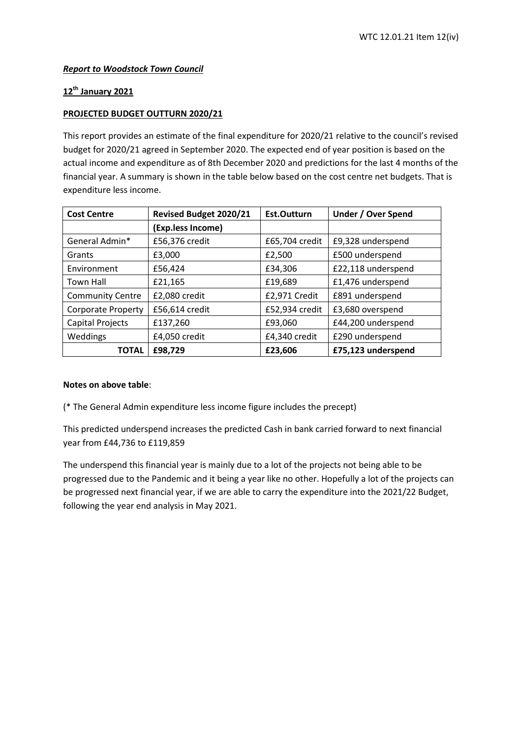# *Report to Woodstock Town Council*

# **12th January 2021**

# **PROJECTED BUDGET OUTTURN 2020/21**

This report provides an estimate of the final expenditure for 2020/21 relative to the council's revised budget for 2020/21 agreed in September 2020. The expected end of year position is based on the actual income and expenditure as of 8th December 2020 and predictions for the last 4 months of the financial year. A summary is shown in the table below based on the cost centre net budgets. That is expenditure less income.

| <b>Cost Centre</b>        | Revised Budget 2020/21 | Est.Outturn    | <b>Under / Over Spend</b> |  |
|---------------------------|------------------------|----------------|---------------------------|--|
|                           | (Exp.less Income)      |                |                           |  |
| General Admin*            | £56,376 credit         | £65,704 credit | £9,328 underspend         |  |
| Grants                    | £3,000                 | £2,500         | £500 underspend           |  |
| Environment               | £56,424                | £34,306        | £22,118 underspend        |  |
| Town Hall                 | £21,165                | £19,689        | £1,476 underspend         |  |
| <b>Community Centre</b>   | £2,080 credit          | £2,971 Credit  | £891 underspend           |  |
| <b>Corporate Property</b> | £56,614 credit         | £52,934 credit | £3,680 overspend          |  |
| Capital Projects          | £137,260               | £93,060        | £44,200 underspend        |  |
| £4,050 credit<br>Weddings |                        | £4,340 credit  | £290 underspend           |  |
| <b>TOTAL</b>              | £98,729                | £23,606        | £75,123 underspend        |  |

# **Notes on above table**:

(\* The General Admin expenditure less income figure includes the precept)

This predicted underspend increases the predicted Cash in bank carried forward to next financial year from £44,736 to £119,859

The underspend this financial year is mainly due to a lot of the projects not being able to be progressed due to the Pandemic and it being a year like no other. Hopefully a lot of the projects can be progressed next financial year, if we are able to carry the expenditure into the 2021/22 Budget, following the year end analysis in May 2021.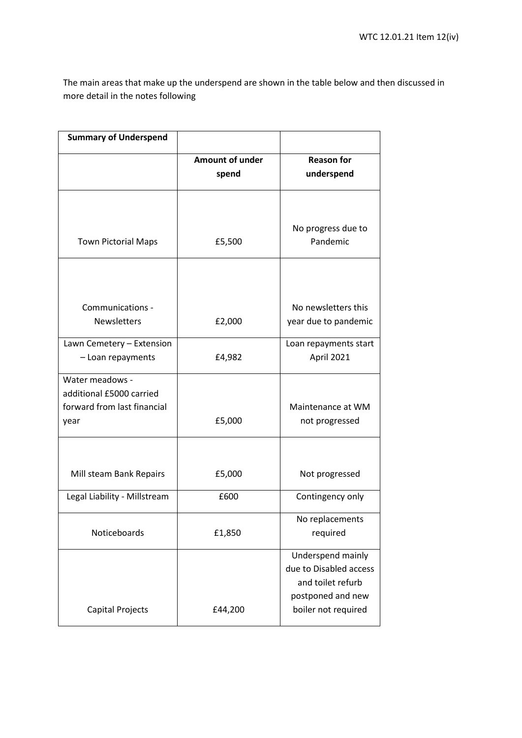The main areas that make up the underspend are shown in the table below and then discussed in more detail in the notes following

| <b>Summary of Underspend</b>           |                 |                                             |
|----------------------------------------|-----------------|---------------------------------------------|
|                                        | Amount of under | <b>Reason for</b>                           |
|                                        | spend           | underspend                                  |
| <b>Town Pictorial Maps</b>             | £5,500          | No progress due to<br>Pandemic              |
|                                        |                 |                                             |
| Communications -<br><b>Newsletters</b> | £2,000          | No newsletters this<br>year due to pandemic |
| Lawn Cemetery - Extension              |                 | Loan repayments start                       |
| - Loan repayments                      | £4,982          | April 2021                                  |
| Water meadows -                        |                 |                                             |
| additional £5000 carried               |                 |                                             |
| forward from last financial            |                 | Maintenance at WM                           |
| year                                   | £5,000          | not progressed                              |
| Mill steam Bank Repairs                | £5,000          | Not progressed                              |
|                                        |                 |                                             |
| Legal Liability - Millstream           | £600            | Contingency only                            |
|                                        |                 | No replacements                             |
| Noticeboards                           | £1,850          | required                                    |
|                                        |                 | Underspend mainly                           |
|                                        |                 | due to Disabled access                      |
|                                        |                 | and toilet refurb                           |
|                                        |                 | postponed and new                           |
| Capital Projects                       | £44,200         | boiler not required                         |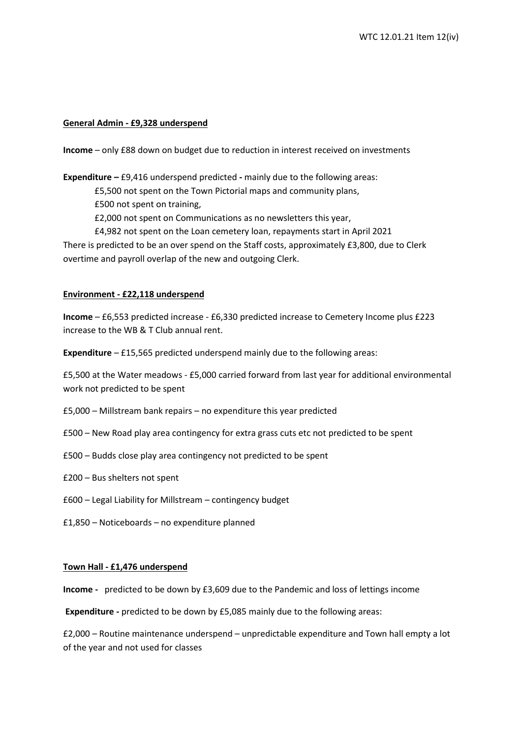# **General Admin - £9,328 underspend**

**Income** – only £88 down on budget due to reduction in interest received on investments

**Expenditure –** £9,416 underspend predicted **-** mainly due to the following areas: £5,500 not spent on the Town Pictorial maps and community plans, £500 not spent on training,

£2,000 not spent on Communications as no newsletters this year,

£4,982 not spent on the Loan cemetery loan, repayments start in April 2021 There is predicted to be an over spend on the Staff costs, approximately £3,800, due to Clerk overtime and payroll overlap of the new and outgoing Clerk.

### **Environment - £22,118 underspend**

**Income** – £6,553 predicted increase - £6,330 predicted increase to Cemetery Income plus £223 increase to the WB & T Club annual rent.

**Expenditure** – £15,565 predicted underspend mainly due to the following areas:

£5,500 at the Water meadows - £5,000 carried forward from last year for additional environmental work not predicted to be spent

- £5,000 Millstream bank repairs no expenditure this year predicted
- £500 New Road play area contingency for extra grass cuts etc not predicted to be spent
- £500 Budds close play area contingency not predicted to be spent
- £200 Bus shelters not spent
- £600 Legal Liability for Millstream contingency budget
- £1,850 Noticeboards no expenditure planned

#### **Town Hall - £1,476 underspend**

**Income -** predicted to be down by £3,609 due to the Pandemic and loss of lettings income

**Expenditure -** predicted to be down by £5,085 mainly due to the following areas:

£2,000 – Routine maintenance underspend – unpredictable expenditure and Town hall empty a lot of the year and not used for classes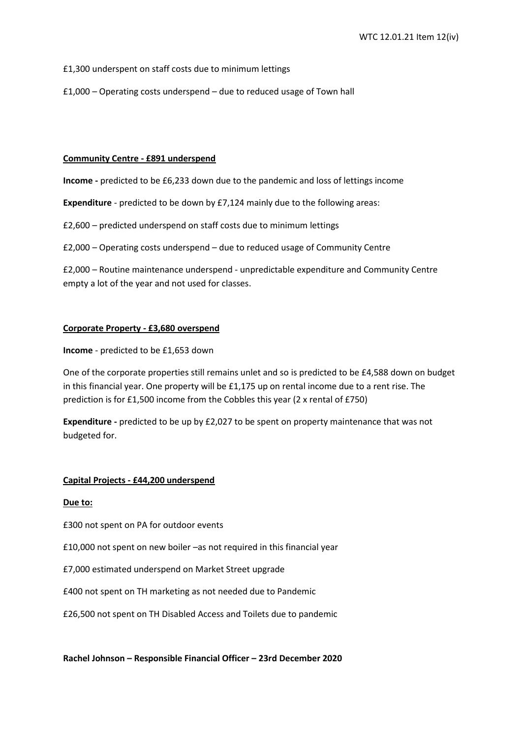£1,300 underspent on staff costs due to minimum lettings

£1,000 – Operating costs underspend – due to reduced usage of Town hall

#### **Community Centre - £891 underspend**

**Income -** predicted to be £6,233 down due to the pandemic and loss of lettings income

**Expenditure** - predicted to be down by £7,124 mainly due to the following areas:

£2,600 – predicted underspend on staff costs due to minimum lettings

£2,000 – Operating costs underspend – due to reduced usage of Community Centre

£2,000 – Routine maintenance underspend - unpredictable expenditure and Community Centre empty a lot of the year and not used for classes.

# **Corporate Property - £3,680 overspend**

**Income** - predicted to be £1,653 down

One of the corporate properties still remains unlet and so is predicted to be £4,588 down on budget in this financial year. One property will be £1,175 up on rental income due to a rent rise. The prediction is for £1,500 income from the Cobbles this year (2 x rental of £750)

**Expenditure -** predicted to be up by £2,027 to be spent on property maintenance that was not budgeted for.

# **Capital Projects - £44,200 underspend**

#### **Due to:**

£300 not spent on PA for outdoor events

£10,000 not spent on new boiler –as not required in this financial year

£7,000 estimated underspend on Market Street upgrade

£400 not spent on TH marketing as not needed due to Pandemic

£26,500 not spent on TH Disabled Access and Toilets due to pandemic

**Rachel Johnson – Responsible Financial Officer – 23rd December 2020**